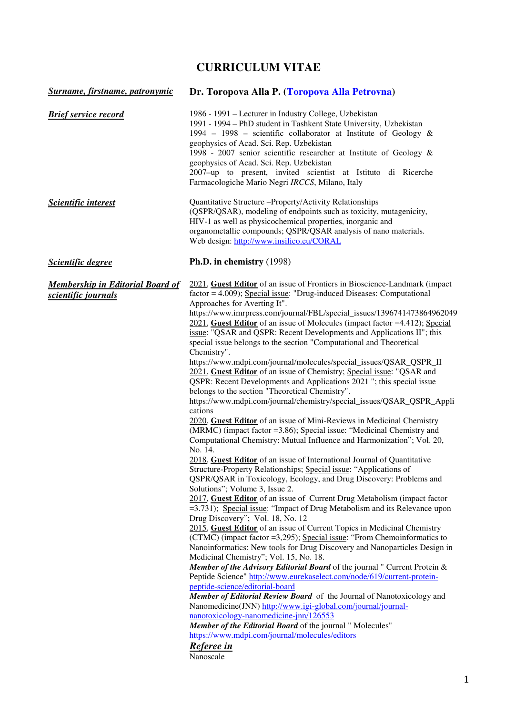# **CURRICULUM VITAE**

| Surname, firstname, patronymic                                 | Dr. Toropova Alla P. (Toropova Alla Petrovna)                                                                                                                                                                                                                                                                                                                                                                                                                                                                                                                                                                                                                                                                                                                                                                                                                                                                                                                                                                                                                                                                                                                                                                                                                                                                                                                                                                                                                                                                                                                                                                                                                                                                                                                                                                                                                                                                                                                                                                                                                                                                                                                                                                                                                                                                                                                                     |  |
|----------------------------------------------------------------|-----------------------------------------------------------------------------------------------------------------------------------------------------------------------------------------------------------------------------------------------------------------------------------------------------------------------------------------------------------------------------------------------------------------------------------------------------------------------------------------------------------------------------------------------------------------------------------------------------------------------------------------------------------------------------------------------------------------------------------------------------------------------------------------------------------------------------------------------------------------------------------------------------------------------------------------------------------------------------------------------------------------------------------------------------------------------------------------------------------------------------------------------------------------------------------------------------------------------------------------------------------------------------------------------------------------------------------------------------------------------------------------------------------------------------------------------------------------------------------------------------------------------------------------------------------------------------------------------------------------------------------------------------------------------------------------------------------------------------------------------------------------------------------------------------------------------------------------------------------------------------------------------------------------------------------------------------------------------------------------------------------------------------------------------------------------------------------------------------------------------------------------------------------------------------------------------------------------------------------------------------------------------------------------------------------------------------------------------------------------------------------|--|
| <b>Brief service record</b>                                    | 1986 - 1991 – Lecturer in Industry College, Uzbekistan<br>1991 - 1994 - PhD student in Tashkent State University, Uzbekistan<br>1994 – 1998 – scientific collaborator at Institute of Geology &<br>geophysics of Acad. Sci. Rep. Uzbekistan<br>1998 - 2007 senior scientific researcher at Institute of Geology &<br>geophysics of Acad. Sci. Rep. Uzbekistan<br>2007-up to present, invited scientist at Istituto di Ricerche<br>Farmacologiche Mario Negri IRCCS, Milano, Italy                                                                                                                                                                                                                                                                                                                                                                                                                                                                                                                                                                                                                                                                                                                                                                                                                                                                                                                                                                                                                                                                                                                                                                                                                                                                                                                                                                                                                                                                                                                                                                                                                                                                                                                                                                                                                                                                                                 |  |
| <b>Scientific interest</b>                                     | Quantitative Structure - Property/Activity Relationships<br>(QSPR/QSAR), modeling of endpoints such as toxicity, mutagenicity,<br>HIV-1 as well as physicochemical properties, inorganic and<br>organometallic compounds; QSPR/QSAR analysis of nano materials.<br>Web design: http://www.insilico.eu/CORAL                                                                                                                                                                                                                                                                                                                                                                                                                                                                                                                                                                                                                                                                                                                                                                                                                                                                                                                                                                                                                                                                                                                                                                                                                                                                                                                                                                                                                                                                                                                                                                                                                                                                                                                                                                                                                                                                                                                                                                                                                                                                       |  |
| <b>Scientific degree</b>                                       | Ph.D. in chemistry (1998)                                                                                                                                                                                                                                                                                                                                                                                                                                                                                                                                                                                                                                                                                                                                                                                                                                                                                                                                                                                                                                                                                                                                                                                                                                                                                                                                                                                                                                                                                                                                                                                                                                                                                                                                                                                                                                                                                                                                                                                                                                                                                                                                                                                                                                                                                                                                                         |  |
| <b>Membership in Editorial Board of</b><br>scientific journals | 2021, Guest Editor of an issue of Frontiers in Bioscience-Landmark (impact<br>$factor = 4.009$ ; Special issue: "Drug-induced Diseases: Computational<br>Approaches for Averting It".<br>https://www.imrpress.com/journal/FBL/special_issues/1396741473864962049<br>$2021$ , Guest Editor of an issue of Molecules (impact factor =4.412); Special<br>issue: "QSAR and QSPR: Recent Developments and Applications II"; this<br>special issue belongs to the section "Computational and Theoretical<br>Chemistry".<br>https://www.mdpi.com/journal/molecules/special_issues/QSAR_QSPR_II<br>2021, Guest Editor of an issue of Chemistry; Special issue: "QSAR and<br>QSPR: Recent Developments and Applications 2021 "; this special issue<br>belongs to the section "Theoretical Chemistry".<br>https://www.mdpi.com/journal/chemistry/special_issues/QSAR_QSPR_Appli<br>cations<br>2020, Guest Editor of an issue of Mini-Reviews in Medicinal Chemistry<br>(MRMC) (impact factor = 3.86); Special issue: "Medicinal Chemistry and<br>Computational Chemistry: Mutual Influence and Harmonization"; Vol. 20,<br>No. 14.<br>2018, Guest Editor of an issue of International Journal of Quantitative<br>Structure-Property Relationships; Special issue: "Applications of<br>QSPR/QSAR in Toxicology, Ecology, and Drug Discovery: Problems and<br>Solutions"; Volume 3, Issue 2.<br>2017, Guest Editor of an issue of Current Drug Metabolism (impact factor<br>=3.731); Special issue: "Impact of Drug Metabolism and its Relevance upon<br>Drug Discovery"; Vol. 18, No. 12<br>2015, Guest Editor of an issue of Current Topics in Medicinal Chemistry<br>(CTMC) (impact factor =3,295); Special issue: "From Chemoinformatics to<br>Nanoinformatics: New tools for Drug Discovery and Nanoparticles Design in<br>Medicinal Chemistry"; Vol. 15, No. 18.<br>Member of the Advisory Editorial Board of the journal " Current Protein &<br>Peptide Science" http://www.eurekaselect.com/node/619/current-protein-<br>peptide-science/editorial-board<br>Member of Editorial Review Board of the Journal of Nanotoxicology and<br>Nanomedicine(JNN) http://www.igi-global.com/journal/journal-<br>nanotoxicology-nanomedicine-jnn/126553<br>Member of the Editorial Board of the journal " Molecules"<br>https://www.mdpi.com/journal/molecules/editors<br>Referee in<br>Nanoscale |  |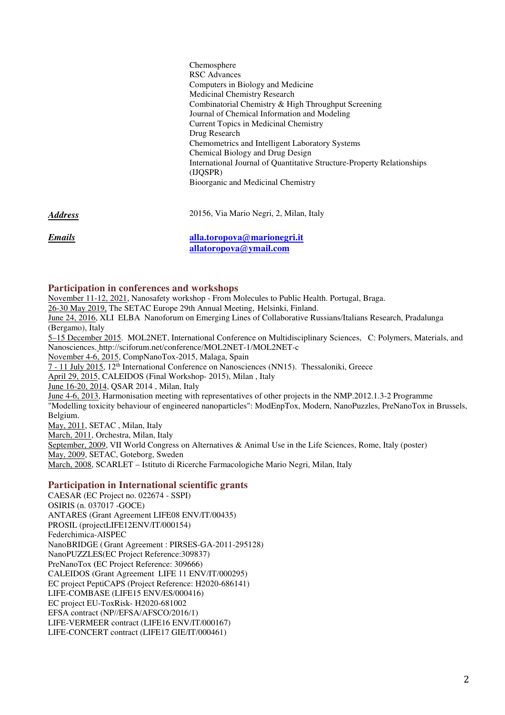Chemosphere RSC Advances Computers in Biology and Medicine Medicinal Chemistry Research Combinatorial Chemistry & High Throughput Screening Journal of Chemical Information and Modeling Current Topics in Medicinal Chemistry Drug Research Chemometrics and Intelligent Laboratory Systems Chemical Biology and Drug Design International Journal of Quantitative Structure-Property Relationships (IJQSPR) Bioorganic and Medicinal Chemistry

*Address* 20156, Via Mario Negri, 2, Milan, Italy

*Emails* **alla.toropova@marionegri.it allatoropova@ymail.com**

# **Participation in conferences and workshops**

November 11-12, 2021, Nanosafety workshop - From Molecules to Public Health. Portugal, Braga.

26-30 May 2019, The SETAC Europe 29th Annual Meeting, Helsinki, Finland.

June 24, 2016, XLI ELBA Nanoforum on Emerging Lines of Collaborative Russians/Italians Research, Pradalunga (Bergamo), Italy

5–15 December 2015. MOL2NET, International Conference on Multidisciplinary Sciences, C: Polymers, Materials, and Nanosciences. http://sciforum.net/conference/MOL2NET-1/MOL2NET-c

November 4-6, 2015, CompNanoTox-2015, Malaga, Spain

7 - 11 July 2015, 12th International Conference on Nanosciences (NN15). Thessaloniki, Greece

April 29, 2015, CALEIDOS (Final Workshop- 2015), Milan , Italy

June 16-20, 2014, QSAR 2014 , Milan, Italy

June 4-6, 2013, Harmonisation meeting with representatives of other projects in the NMP.2012.1.3-2 Programme "Modelling toxicity behaviour of engineered nanoparticles": ModEnpTox, Modern, NanoPuzzles, PreNanoTox in Brussels, Belgium. May, 2011, SETAC , Milan, Italy March, 2011, Orchestra, Milan, Italy

September, 2009, VII World Congress on Alternatives & Animal Use in the Life Sciences, Rome, Italy (poster) May, 2009, SETAC, Goteborg, Sweden

March, 2008, SCARLET – Istituto di Ricerche Farmacologiche Mario Negri, Milan, Italy

# **Participation in International scientific grants**

CAESAR (EC Project no. 022674 - SSPI) OSIRIS (n. 037017 -GOCE) ANTARES (Grant Agreement LIFE08 ENV/IT/00435) PROSIL (projectLIFE12ENV/IT/000154) Federchimica-AISPEC NanoBRIDGE ( Grant Agreement : PIRSES-GA-2011-295128) NanoPUZZLES(EC Project Reference:309837) PreNanoTox **(**EC Project Reference: 309666) CALEIDOS (Grant Agreement LIFE 11 ENV/IT/000295) EC project PeptiCAPS (Project Reference: H2020-686141) LIFE-COMBASE (LIFE15 ENV/ES/000416) EC project EU-ToxRisk- H2020-681002 EFSA contract (NP//EFSA/AFSCO/2016/1) LIFE-VERMEER contract (LIFE16 ENV/IT/000167) LIFE-CONCERT contract (LIFE17 GIE/IT/000461)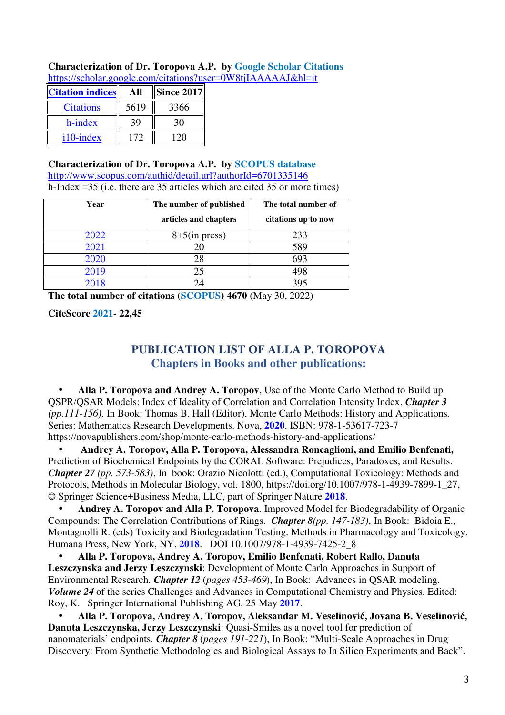| <b>Characterization of Dr. Toropova A.P. by Google Scholar Citations</b> |  |
|--------------------------------------------------------------------------|--|
| https://scholar.google.com/citations?user=0W8tjIAAAAAJ&hl=it             |  |

| <b>Citation indices</b> |      | <b>Since 2017</b> |
|-------------------------|------|-------------------|
| <b>Citations</b>        | 5619 | 3366              |
| h-index                 |      |                   |
| i10-index               | 172  |                   |

**Characterization of Dr. Toropova A.P. by SCOPUS database**  http://www.scopus.com/authid/detail.url?authorId=6701335146 h-Index =35 (i.e. there are 35 articles which are cited 35 or more times)

| Year | The number of published | The total number of |
|------|-------------------------|---------------------|
|      | articles and chapters   | citations up to now |
| 2022 | $8+5$ (in press)        | 233                 |
| 2021 | 20                      | 589                 |
| 2020 | 28                      | 693                 |
| 2019 | 25                      | 498                 |
| 2018 | 24                      | 395                 |

**The total number of citations (SCOPUS) 4670** (May 30, 2022)

**CiteScore 2021- 22,45** 

# **PUBLICATION LIST OF ALLA P. TOROPOVA Chapters in Books and other publications:**

• **Alla P. Toropova and Andrey A. Toropov**, Use of the Monte Carlo Method to Build up QSPR/QSAR Models: Index of Ideality of Correlation and Correlation Intensity Index. *Chapter 3 (pp.111-156),* In Book: Thomas B. Hall (Editor), Monte Carlo Methods: History and Applications. Series: Mathematics Research Developments. Nova, **2020**. ISBN: 978-1-53617-723-7 https://novapublishers.com/shop/monte-carlo-methods-history-and-applications/

• **Andrey A. Toropov, Alla P. Toropova, Alessandra Roncaglioni, and Emilio Benfenati,**  Prediction of Biochemical Endpoints by the CORAL Software: Prejudices, Paradoxes, and Results. *Chapter 27 (pp. 573-583)*, In book: Orazio Nicolotti (ed.), Computational Toxicology: Methods and Protocols, Methods in Molecular Biology, vol. 1800, https://doi.org/10.1007/978-1-4939-7899-1\_27, © Springer Science+Business Media, LLC, part of Springer Nature **2018**.

• **Andrey A. Toropov and Alla P. Toropova**. Improved Model for Biodegradability of Organic Compounds: The Correlation Contributions of Rings. *Chapter 8(pp. 147-183)*, In Book: Bidoia E., Montagnolli R. (eds) Toxicity and Biodegradation Testing. Methods in Pharmacology and Toxicology. Humana Press, New York, NY. **2018**. DOI 10.1007/978-1-4939-7425-2\_8

• **Alla P. Toropova, Andrey A. Toropov, Emilio Benfenati, Robert Rallo, Danuta Leszczynska and Jerzy Leszczynski**: Development of Monte Carlo Approaches in Support of Environmental Research. *Chapter 12* (*pages 453-469*), In Book: Advances in QSAR modeling. *Volume 24* of the series Challenges and Advances in Computational Chemistry and Physics. Edited: Roy, K. Springer International Publishing AG, 25 May **2017**.

• **Alla P. Toropova, Andrey A. Toropov, Aleksandar M. Veselinović, Jovana B. Veselinović, Danuta Leszczynska, Jerzy Leszczynski**: Quasi-Smiles as a novel tool for prediction of nanomaterials' endpoints. *Chapter 8* (*pages 191-221*), In Book: "Multi-Scale Approaches in Drug Discovery: From Synthetic Methodologies and Biological Assays to In Silico Experiments and Back".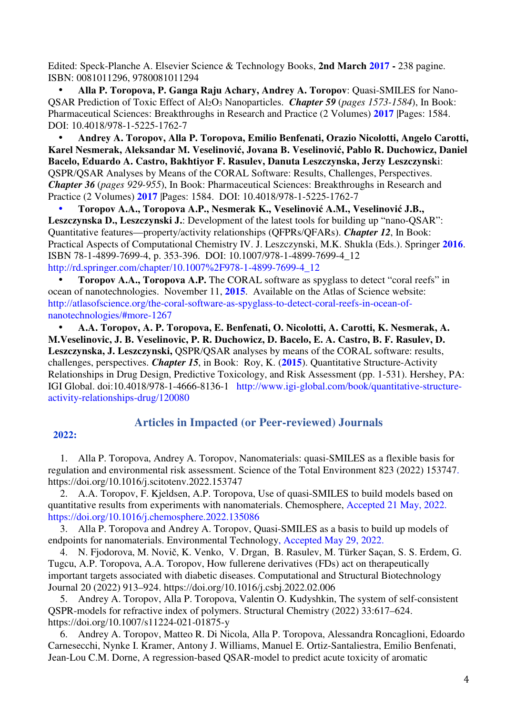Edited: Speck-Planche A. Elsevier Science & Technology Books, **2nd March 2017 -** 238 pagine. ISBN: 0081011296, 9780081011294

• **Alla P. Toropova, P. Ganga Raju Achary, Andrey A. Toropov**: Quasi-SMILES for Nano-QSAR Prediction of Toxic Effect of Al2O3 Nanoparticles. *Chapter 59* (*pages 1573-1584*), In Book: Pharmaceutical Sciences: Breakthroughs in Research and Practice (2 Volumes) **2017** |Pages: 1584. DOI: 10.4018/978-1-5225-1762-7

• **Andrey A. Toropov, Alla P. Toropova, Emilio Benfenati, Orazio Nicolotti, Angelo Carotti, Karel Nesmerak, Aleksandar M. Veselinović, Jovana B. Veselinović, Pablo R. Duchowicz, Daniel Bacelo, Eduardo A. Castro, Bakhtiyor F. Rasulev, Danuta Leszczynska, Jerzy Leszczynsk**i: QSPR/QSAR Analyses by Means of the CORAL Software: Results, Challenges, Perspectives. *Chapter 36* (*pages 929-955*), In Book: Pharmaceutical Sciences: Breakthroughs in Research and Practice (2 Volumes) **2017** |Pages: 1584. DOI: 10.4018/978-1-5225-1762-7

• **Toropov A.A., Toropova A.P., Nesmerak K., Veselinović A.M., Veselinović J.B., Leszczynska D., Leszczynski J.**: Development of the latest tools for building up "nano-QSAR": Quantitative features—property/activity relationships (QFPRs/QFARs). *Chapter 12*, In Book: Practical Aspects of Computational Chemistry IV. J. Leszczynski, M.K. Shukla (Eds.). Springer **2016**. ISBN 78-1-4899-7699-4, p. 353-396. DOI: 10.1007/978-1-4899-7699-4\_12 http://rd.springer.com/chapter/10.1007%2F978-1-4899-7699-4\_12

• **Toropov A.A., Toropova A.P.** The CORAL software as spyglass to detect "coral reefs" in ocean of nanotechnologies. November 11, **2015**. Available on the Atlas of Science website: http://atlasofscience.org/the-coral-software-as-spyglass-to-detect-coral-reefs-in-ocean-ofnanotechnologies/#more-1267

• **A.A. Toropov, A. P. Toropova, E. Benfenati, O. Nicolotti, A. Carotti, K. Nesmerak, A. M.Veselinovic, J. B. Veselinovic, P. R. Duchowicz, D. Bacelo, E. A. Castro, B. F. Rasulev, D. Leszczynska, J. Leszczynski,** QSPR/QSAR analyses by means of the CORAL software: results, challenges, perspectives. *Chapter 15*, in Book: Roy, K. (**2015**). Quantitative Structure-Activity Relationships in Drug Design, Predictive Toxicology, and Risk Assessment (pp. 1-531). Hershey, PA: IGI Global. doi:10.4018/978-1-4666-8136-1 http://www.igi-global.com/book/quantitative-structureactivity-relationships-drug/120080

# **2022:**

# **Articles in Impacted (or Peer-reviewed) Journals**

1. Alla P. Toropova, Andrey A. Toropov, Nanomaterials: quasi-SMILES as a flexible basis for regulation and environmental risk assessment. Science of the Total Environment 823 (2022) 153747. https://doi.org/10.1016/j.scitotenv.2022.153747

2. A.A. Toropov, F. Kjeldsen, A.P. Toropova, Use of quasi-SMILES to build models based on quantitative results from experiments with nanomaterials. Chemosphere, Accepted 21 May, 2022. https://doi.org/10.1016/j.chemosphere.2022.135086

3. Alla P. Toropova and Andrey A. Toropov, Quasi-SMILES as a basis to build up models of endpoints for nanomaterials. Environmental Technology, Accepted May 29, 2022.

4. N. Fjodorova, M. Novič, K. Venko, V. Drgan, B. Rasulev, M. Türker Saçan, S. S. Erdem, G. Tugcu, A.P. Toropova, A.A. Toropov, How fullerene derivatives (FDs) act on therapeutically important targets associated with diabetic diseases. Computational and Structural Biotechnology Journal 20 (2022) 913–924. https://doi.org/10.1016/j.csbj.2022.02.006

5. Andrey A. Toropov, Alla P. Toropova, Valentin O. Kudyshkin, The system of self-consistent QSPR-models for refractive index of polymers. Structural Chemistry (2022) 33:617–624. https://doi.org/10.1007/s11224-021-01875-y

6. Andrey A. Toropov, Matteo R. Di Nicola, Alla P. Toropova, Alessandra Roncaglioni, Edoardo Carnesecchi, Nynke I. Kramer, Antony J. Williams, Manuel E. Ortiz-Santaliestra, Emilio Benfenati, Jean-Lou C.M. Dorne, A regression-based QSAR-model to predict acute toxicity of aromatic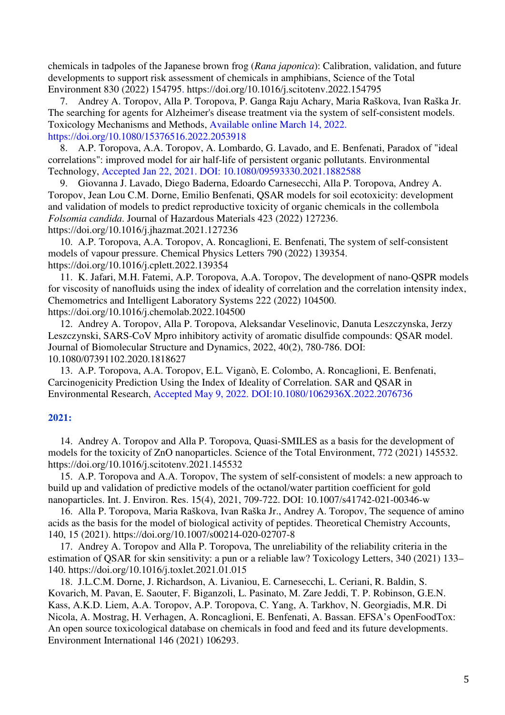chemicals in tadpoles of the Japanese brown frog (*Rana japonica*): Calibration, validation, and future developments to support risk assessment of chemicals in amphibians, Science of the Total Environment 830 (2022) 154795. https://doi.org/10.1016/j.scitotenv.2022.154795

7. Andrey A. Toropov, Alla P. Toropova, P. Ganga Raju Achary, Maria Raškova, Ivan Raška Jr. The searching for agents for Alzheimer's disease treatment via the system of self-consistent models. Toxicology Mechanisms and Methods, Available online March 14, 2022. https://doi.org/10.1080/15376516.2022.2053918

8. A.P. Toropova, A.A. Toropov, A. Lombardo, G. Lavado, and E. Benfenati, Paradox of "ideal correlations": improved model for air half-life of persistent organic pollutants. Environmental Technology, Accepted Jan 22, 2021. DOI: 10.1080/09593330.2021.1882588

9. Giovanna J. Lavado, Diego Baderna, Edoardo Carnesecchi, Alla P. Toropova, Andrey A. Toropov, Jean Lou C.M. Dorne, Emilio Benfenati, QSAR models for soil ecotoxicity: development and validation of models to predict reproductive toxicity of organic chemicals in the collembola *Folsomia candida*. Journal of Hazardous Materials 423 (2022) 127236. https://doi.org/10.1016/j.jhazmat.2021.127236

10. A.P. Toropova, A.A. Toropov, A. Roncaglioni, E. Benfenati, The system of self-consistent models of vapour pressure. Chemical Physics Letters 790 (2022) 139354. https://doi.org/10.1016/j.cplett.2022.139354

11. K. Jafari, M.H. Fatemi, A.P. Toropova, A.A. Toropov, The development of nano-QSPR models for viscosity of nanofluids using the index of ideality of correlation and the correlation intensity index, Chemometrics and Intelligent Laboratory Systems 222 (2022) 104500.

https://doi.org/10.1016/j.chemolab.2022.104500

12. Andrey A. Toropov, Alla P. Toropova, Aleksandar Veselinovic, Danuta Leszczynska, Jerzy Leszczynski, SARS-CoV Mpro inhibitory activity of aromatic disulfide compounds: QSAR model. Journal of Biomolecular Structure and Dynamics, 2022, 40(2), 780-786. DOI: 10.1080/07391102.2020.1818627

13. A.P. Toropova, A.A. Toropov, E.L. Viganò, E. Colombo, A. Roncaglioni, E. Benfenati, Carcinogenicity Prediction Using the Index of Ideality of Correlation. SAR and QSAR in Environmental Research, Accepted May 9, 2022. DOI:10.1080/1062936X.2022.2076736

# **2021:**

14. Andrey A. Toropov and Alla P. Toropova, Quasi-SMILES as a basis for the development of models for the toxicity of ZnO nanoparticles. Science of the Total Environment, 772 (2021) 145532. https://doi.org/10.1016/j.scitotenv.2021.145532

15. A.P. Toropova and A.A. Toropov, The system of self-consistent of models: a new approach to build up and validation of predictive models of the octanol/water partition coefficient for gold nanoparticles. Int. J. Environ. Res. 15(4), 2021, 709-722. DOI: 10.1007/s41742-021-00346-w

16. Alla P. Toropova, Maria Raškova, Ivan Raška Jr., Andrey A. Toropov, The sequence of amino acids as the basis for the model of biological activity of peptides. Theoretical Chemistry Accounts, 140, 15 (2021). https://doi.org/10.1007/s00214-020-02707-8

17. Andrey A. Toropov and Alla P. Toropova, The unreliability of the reliability criteria in the estimation of QSAR for skin sensitivity: a pun or a reliable law? Toxicology Letters, 340 (2021) 133– 140. https://doi.org/10.1016/j.toxlet.2021.01.015

18. J.L.C.M. Dorne, J. Richardson, A. Livaniou, E. Carnesecchi, L. Ceriani, R. Baldin, S. Kovarich, M. Pavan, E. Saouter, F. Biganzoli, L. Pasinato, M. Zare Jeddi, T. P. Robinson, G.E.N. Kass, A.K.D. Liem, A.A. Toropov, A.P. Toropova, C. Yang, A. Tarkhov, N. Georgiadis, M.R. Di Nicola, A. Mostrag, H. Verhagen, A. Roncaglioni, E. Benfenati, A. Bassan. EFSA's OpenFoodTox: An open source toxicological database on chemicals in food and feed and its future developments. Environment International 146 (2021) 106293.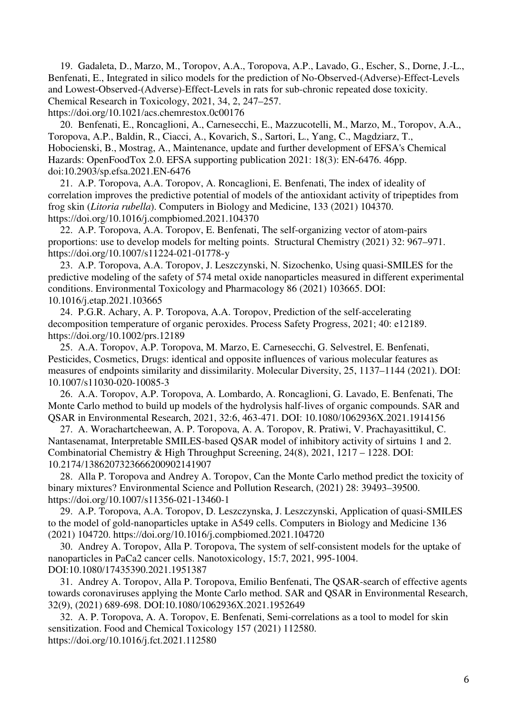19. Gadaleta, D., Marzo, M., Toropov, A.A., Toropova, A.P., Lavado, G., Escher, S., Dorne, J.-L., Benfenati, E., Integrated in silico models for the prediction of No-Observed-(Adverse)-Effect-Levels and Lowest-Observed-(Adverse)-Effect-Levels in rats for sub-chronic repeated dose toxicity. Chemical Research in Toxicology, 2021, 34, 2, 247–257. https://doi.org/10.1021/acs.chemrestox.0c00176

20. Benfenati, E., Roncaglioni, A., Carnesecchi, E., Mazzucotelli, M., Marzo, M., Toropov, A.A., Toropova, A.P., Baldin, R., Ciacci, A., Kovarich, S., Sartori, L., Yang, C., Magdziarz, T., Hobocienski, B., Mostrag, A., Maintenance, update and further development of EFSA's Chemical Hazards: OpenFoodTox 2.0. EFSA supporting publication 2021: 18(3): EN‐6476. 46pp. doi:10.2903/sp.efsa.2021.EN-6476

21. A.P. Toropova, A.A. Toropov, A. Roncaglioni, E. Benfenati, The index of ideality of correlation improves the predictive potential of models of the antioxidant activity of tripeptides from frog skin (*Litoria rubella*). Computers in Biology and Medicine, 133 (2021) 104370. https://doi.org/10.1016/j.compbiomed.2021.104370

22. A.P. Toropova, A.A. Toropov, E. Benfenati, The self-organizing vector of atom-pairs proportions: use to develop models for melting points. Structural Chemistry (2021) 32: 967–971. https://doi.org/10.1007/s11224-021-01778-y

23. A.P. Toropova, A.A. Toropov, J. Leszczynski, N. Sizochenko, Using quasi-SMILES for the predictive modeling of the safety of 574 metal oxide nanoparticles measured in different experimental conditions. Environmental Toxicology and Pharmacology 86 (2021) 103665. DOI: 10.1016/j.etap.2021.103665

24. P.G.R. Achary, A. P. Toropova, A.A. Toropov, Prediction of the self-accelerating decomposition temperature of organic peroxides. Process Safety Progress, 2021; 40: e12189. https://doi.org/10.1002/prs.12189

25. A.A. Toropov, A.P. Toropova, M. Marzo, E. Carnesecchi, G. Selvestrel, E. Benfenati, Pesticides, Cosmetics, Drugs: identical and opposite influences of various molecular features as measures of endpoints similarity and dissimilarity. Molecular Diversity, 25, 1137–1144 (2021). DOI: 10.1007/s11030-020-10085-3

26. A.A. Toropov, A.P. Toropova, A. Lombardo, A. Roncaglioni, G. Lavado, E. Benfenati, The Monte Carlo method to build up models of the hydrolysis half-lives of organic compounds. SAR and QSAR in Environmental Research, 2021, 32:6, 463-471. DOI: 10.1080/1062936X.2021.1914156

27. A. Worachartcheewan, A. P. Toropova, A. A. Toropov, R. Pratiwi, V. Prachayasittikul, C. Nantasenamat, Interpretable SMILES-based QSAR model of inhibitory activity of sirtuins 1 and 2. Combinatorial Chemistry & High Throughput Screening, 24(8), 2021, 1217 – 1228. DOI: 10.2174/1386207323666200902141907

28. Alla P. Toropova and Andrey A. Toropov, Can the Monte Carlo method predict the toxicity of binary mixtures? Environmental Science and Pollution Research, (2021) 28: 39493–39500. https://doi.org/10.1007/s11356-021-13460-1

29. A.P. Toropova, A.A. Toropov, D. Leszczynska, J. Leszczynski, Application of quasi-SMILES to the model of gold-nanoparticles uptake in A549 cells. Computers in Biology and Medicine 136 (2021) 104720. https://doi.org/10.1016/j.compbiomed.2021.104720

30. Andrey A. Toropov, Alla P. Toropova, The system of self-consistent models for the uptake of nanoparticles in PaCa2 cancer cells. Nanotoxicology, 15:7, 2021, 995-1004. DOI:10.1080/17435390.2021.1951387

31. Andrey A. Toropov, Alla P. Toropova, Emilio Benfenati, The QSAR-search of effective agents towards coronaviruses applying the Monte Carlo method. SAR and QSAR in Environmental Research, 32(9), (2021) 689-698. DOI:10.1080/1062936X.2021.1952649

32. A. P. Toropova, A. A. Toropov, E. Benfenati, Semi-correlations as a tool to model for skin sensitization. Food and Chemical Toxicology 157 (2021) 112580. https://doi.org/10.1016/j.fct.2021.112580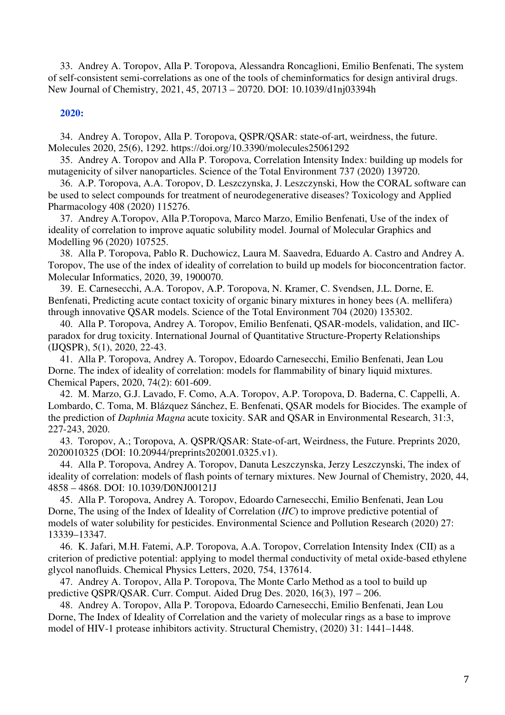33. Andrey A. Toropov, Alla P. Toropova, Alessandra Roncaglioni, Emilio Benfenati, The system of self-consistent semi-correlations as one of the tools of cheminformatics for design antiviral drugs. New Journal of Chemistry, 2021, 45, 20713 – 20720. DOI: 10.1039/d1nj03394h

# **2020:**

34. Andrey A. Toropov, Alla P. Toropova, QSPR/QSAR: state-of-art, weirdness, the future. Molecules 2020, 25(6), 1292. https://doi.org/10.3390/molecules25061292

35. Andrey A. Toropov and Alla P. Toropova, Correlation Intensity Index: building up models for mutagenicity of silver nanoparticles. Science of the Total Environment 737 (2020) 139720.

36. A.P. Toropova, A.A. Toropov, D. Leszczynska, J. Leszczynski, How the CORAL software can be used to select compounds for treatment of neurodegenerative diseases? Toxicology and Applied Pharmacology 408 (2020) 115276.

37. Andrey A.Toropov, Alla P.Toropova, Marco Marzo, Emilio Benfenati, Use of the index of ideality of correlation to improve aquatic solubility model. Journal of Molecular Graphics and Modelling 96 (2020) 107525.

38. Alla P. Toropova, Pablo R. Duchowicz, Laura M. Saavedra, Eduardo A. Castro and Andrey A. Toropov, The use of the index of ideality of correlation to build up models for bioconcentration factor. Molecular Informatics, 2020, 39, 1900070.

39. E. Carnesecchi, A.A. Toropov, A.P. Toropova, N. Kramer, C. Svendsen, J.L. Dorne, E. Benfenati, Predicting acute contact toxicity of organic binary mixtures in honey bees (A. mellifera) through innovative QSAR models. Science of the Total Environment 704 (2020) 135302.

40. Alla P. Toropova, Andrey A. Toropov, Emilio Benfenati, QSAR-models, validation, and IICparadox for drug toxicity. International Journal of Quantitative Structure-Property Relationships (IJQSPR), 5(1), 2020, 22-43.

41. Alla P. Toropova, Andrey A. Toropov, Edoardo Carnesecchi, Emilio Benfenati, Jean Lou Dorne. The index of ideality of correlation: models for flammability of binary liquid mixtures. Chemical Papers, 2020, 74(2): 601-609.

42. M. Marzo, G.J. Lavado, F. Como, A.A. Toropov, A.P. Toropova, D. Baderna, C. Cappelli, A. Lombardo, C. Toma, M. Blázquez Sánchez, E. Benfenati, QSAR models for Biocides. The example of the prediction of *Daphnia Magna* acute toxicity. SAR and QSAR in Environmental Research, 31:3, 227-243, 2020.

43. Toropov, A.; Toropova, A. QSPR/QSAR: State-of-art, Weirdness, the Future. Preprints 2020, 2020010325 (DOI: 10.20944/preprints202001.0325.v1).

44. Alla P. Toropova, Andrey A. Toropov, Danuta Leszczynska, Jerzy Leszczynski, The index of ideality of correlation: models of flash points of ternary mixtures. New Journal of Chemistry, 2020, 44, 4858 – 4868. DOI: 10.1039/D0NJ00121J

45. Alla P. Toropova, Andrey A. Toropov, Edoardo Carnesecchi, Emilio Benfenati, Jean Lou Dorne, The using of the Index of Ideality of Correlation (*IIC*) to improve predictive potential of models of water solubility for pesticides. Environmental Science and Pollution Research (2020) 27: 13339–13347.

46. K. Jafari, M.H. Fatemi, A.P. Toropova, A.A. Toropov, Correlation Intensity Index (CII) as a criterion of predictive potential: applying to model thermal conductivity of metal oxide-based ethylene glycol nanofluids. Chemical Physics Letters, 2020, 754, 137614.

47. Andrey A. Toropov, Alla P. Toropova, The Monte Carlo Method as a tool to build up predictive QSPR/QSAR. Curr. Comput. Aided Drug Des. 2020, 16(3), 197 – 206.

48. Andrey A. Toropov, Alla P. Toropova, Edoardo Carnesecchi, Emilio Benfenati, Jean Lou Dorne, The Index of Ideality of Correlation and the variety of molecular rings as a base to improve model of HIV-1 protease inhibitors activity. Structural Chemistry, (2020) 31: 1441–1448.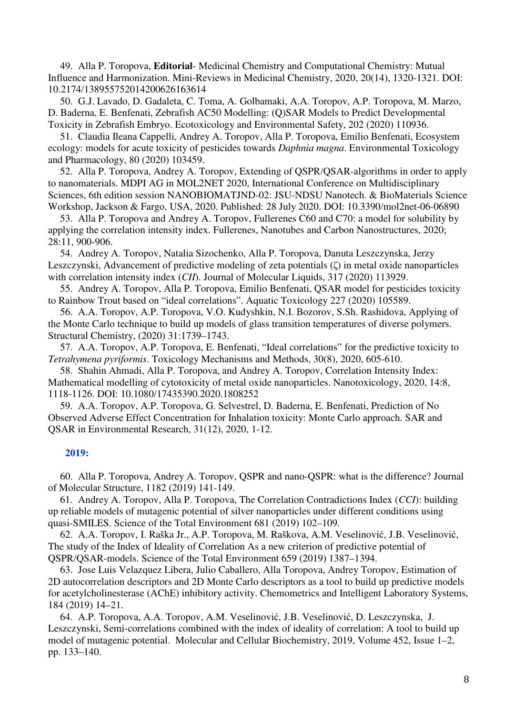49. Alla P. Toropova, **Editorial**- Medicinal Chemistry and Computational Chemistry: Mutual Influence and Harmonization. Mini-Reviews in Medicinal Chemistry, 2020, 20(14), 1320-1321. DOI: 10.2174/138955752014200626163614

50. G.J. Lavado, D. Gadaleta, C. Toma, A. Golbamaki, A.A. Toropov, A.P. Toropova, M. Marzo, D. Baderna, E. Benfenati, Zebrafish AC50 Modelling: (Q)SAR Models to Predict Developmental Toxicity in Zebrafish Embryo. Ecotoxicology and Environmental Safety, 202 (2020) 110936.

51. Claudia Ileana Cappelli, Andrey A. Toropov, Alla P. Toropova, Emilio Benfenati, Ecosystem ecology: models for acute toxicity of pesticides towards *Daphnia magna*. Environmental Toxicology and Pharmacology, 80 (2020) 103459.

52. Alla P. Toropova, Andrey A. Toropov, Extending of QSPR/QSAR-algorithms in order to apply to nanomaterials. MDPI AG in MOL2NET 2020, International Conference on Multidisciplinary Sciences, 6th edition session NANOBIOMATJND-02: JSU-NDSU Nanotech. & BioMaterials Science Workshop, Jackson & Fargo, USA, 2020. Published: 28 July 2020. DOI: 10.3390/mol2net-06-06890

53. Alla P. Toropova and Andrey A. Toropov, Fullerenes C60 and C70: a model for solubility by applying the correlation intensity index. Fullerenes, Nanotubes and Carbon Nanostructures, 2020; 28:11, 900-906.

54. Andrey A. Toropov, Natalia Sizochenko, Alla P. Toropova, Danuta Leszczynska, Jerzy Leszczynski, Advancement of predictive modeling of zeta potentials (ζ) in metal oxide nanoparticles with correlation intensity index (*CII*). Journal of Molecular Liquids, 317 (2020) 113929.

55. Andrey A. Toropov, Alla P. Toropova, Emilio Benfenati, QSAR model for pesticides toxicity to Rainbow Trout based on "ideal correlations". Aquatic Toxicology 227 (2020) 105589.

56. A.A. Toropov, A.P. Toropova, V.O. Kudyshkin, N.I. Bozorov, S.Sh. Rashidova, Applying of the Monte Carlo technique to build up models of glass transition temperatures of diverse polymers. Structural Chemistry, (2020) 31:1739–1743.

57. A.A. Toropov, A.P. Toropova, E. Benfenati, "Ideal correlations" for the predictive toxicity to *Tetrahymena pyriformis*. Toxicology Mechanisms and Methods, 30(8), 2020, 605-610.

58. Shahin Ahmadi, Alla P. Toropova, and Andrey A. Toropov, Correlation Intensity Index: Mathematical modelling of cytotoxicity of metal oxide nanoparticles. Nanotoxicology, 2020, 14:8, 1118-1126. DOI: 10.1080/17435390.2020.1808252

59. A.A. Toropov, A.P. Toropova, G. Selvestrel, D. Baderna, E. Benfenati, Prediction of No Observed Adverse Effect Concentration for Inhalation toxicity: Monte Carlo approach. SAR and QSAR in Environmental Research, 31(12), 2020, 1-12.

# **2019:**

60. Alla P. Toropova, Andrey A. Toropov, QSPR and nano-QSPR: what is the difference? Journal of Molecular Structure, 1182 (2019) 141-149.

61. Andrey A. Toropov, Alla P. Toropova, The Correlation Contradictions Index (*CCI*): building up reliable models of mutagenic potential of silver nanoparticles under different conditions using quasi-SMILES. Science of the Total Environment 681 (2019) 102–109.

62. A.A. Toropov, I. Raška Jr., A.P. Toropova, M. Raškova, A.M. Veselinović, J.B. Veselinović, The study of the Index of Ideality of Correlation As a new criterion of predictive potential of QSPR/QSAR-models. Science of the Total Environment 659 (2019) 1387–1394.

63. Jose Luis Velazquez Libera, Julio Caballero, Alla Toropova, Andrey Toropov, Estimation of 2D autocorrelation descriptors and 2D Monte Carlo descriptors as a tool to build up predictive models for acetylcholinesterase (AChE) inhibitory activity. Chemometrics and Intelligent Laboratory Systems, 184 (2019) 14–21.

64. A.P. Toropova, A.A. Toropov, A.M. Veselinović, J.B. Veselinović, D. Leszczynska, J. Leszczynski, Semi-correlations combined with the index of ideality of correlation: A tool to build up model of mutagenic potential. Molecular and Cellular Biochemistry, 2019, Volume 452, Issue 1–2, pp. 133–140.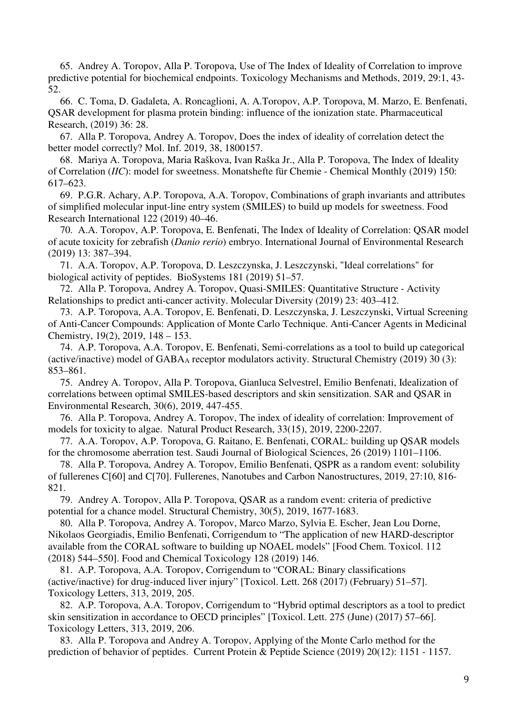65. Andrey A. Toropov, Alla P. Toropova, Use of The Index of Ideality of Correlation to improve predictive potential for biochemical endpoints. Toxicology Mechanisms and Methods, 2019, 29:1, 43- 52.

66. C. Toma, D. Gadaleta, A. Roncaglioni, A. A.Toropov, A.P. Toropova, M. Marzo, E. Benfenati, QSAR development for plasma protein binding: influence of the ionization state. Pharmaceutical Research, (2019) 36: 28.

67. Alla P. Toropova, Andrey A. Toropov, Does the index of ideality of correlation detect the better model correctly? Mol. Inf. 2019, 38, 1800157.

68. Mariya A. Toropova, Maria Raškova, Ivan Raška Jr., Alla P. Toropova, The Index of Ideality of Correlation (*IIC*): model for sweetness. Monatshefte für Chemie - Chemical Monthly (2019) 150: 617–623.

69. P.G.R. Achary, A.P. Toropova, A.A. Toropov, Combinations of graph invariants and attributes of simplified molecular input-line entry system (SMILES) to build up models for sweetness. Food Research International 122 (2019) 40–46.

70. A.A. Toropov, A.P. Toropova, E. Benfenati, The Index of Ideality of Correlation: QSAR model of acute toxicity for zebrafish (*Danio rerio*) embryo. International Journal of Environmental Research (2019) 13: 387–394.

71. A.A. Toropov, A.P. Toropova, D. Leszczynska, J. Leszczynski, "Ideal correlations" for biological activity of peptides. BioSystems 181 (2019) 51–57.

72. Alla P. Toropova, Andrey A. Toropov, Quasi-SMILES: Quantitative Structure - Activity Relationships to predict anti-cancer activity. Molecular Diversity (2019) 23: 403–412.

73. A.P. Toropova, A.A. Toropov, E. Benfenati, D. Leszczynska, J. Leszczynski, Virtual Screening of Anti-Cancer Compounds: Application of Monte Carlo Technique. Anti-Cancer Agents in Medicinal Chemistry, 19(2), 2019, 148 – 153.

74. A.P. Toropova, A.A. Toropov, E. Benfenati, Semi-correlations as a tool to build up categorical (active/inactive) model of  $GABA_A$  receptor modulators activity. Structural Chemistry (2019) 30 (3): 853–861.

75. Andrey A. Toropov, Alla P. Toropova, Gianluca Selvestrel, Emilio Benfenati, Idealization of correlations between optimal SMILES-based descriptors and skin sensitization. SAR and QSAR in Environmental Research, 30(6), 2019, 447-455.

76. Alla P. Toropova, Andrey A. Toropov, The index of ideality of correlation: Improvement of models for toxicity to algae. Natural Product Research, 33(15), 2019, 2200-2207.

77. A.A. Toropov, A.P. Toropova, G. Raitano, E. Benfenati, CORAL: building up QSAR models for the chromosome aberration test. Saudi Journal of Biological Sciences, 26 (2019) 1101–1106.

78. Alla P. Toropova, Andrey A. Toropov, Emilio Benfenati, QSPR as a random event: solubility of fullerenes C[60] and C[70]. Fullerenes, Nanotubes and Carbon Nanostructures, 2019, 27:10, 816- 821.

79. Andrey A. Toropov, Alla P. Toropova, QSAR as a random event: criteria of predictive potential for a chance model. Structural Chemistry, 30(5), 2019, 1677-1683.

80. Alla P. Toropova, Andrey A. Toropov, Marco Marzo, Sylvia E. Escher, Jean Lou Dorne, Nikolaos Georgiadis, Emilio Benfenati, Corrigendum to "The application of new HARD-descriptor available from the CORAL software to building up NOAEL models" [Food Chem. Toxicol. 112 (2018) 544–550]. Food and Chemical Toxicology 128 (2019) 146.

81. A.P. Toropova, A.A. Toropov, Corrigendum to "CORAL: Binary classifications (active/inactive) for drug-induced liver injury" [Toxicol. Lett. 268 (2017) (February) 51–57]. Toxicology Letters, 313, 2019, 205.

82. A.P. Toropova, A.A. Toropov, Corrigendum to "Hybrid optimal descriptors as a tool to predict skin sensitization in accordance to OECD principles" [Toxicol. Lett. 275 (June) (2017) 57–66]. Toxicology Letters, 313, 2019, 206.

83. Alla P. Toropova and Andrey A. Toropov, Applying of the Monte Carlo method for the prediction of behavior of peptides. Current Protein & Peptide Science (2019) 20(12): 1151 - 1157.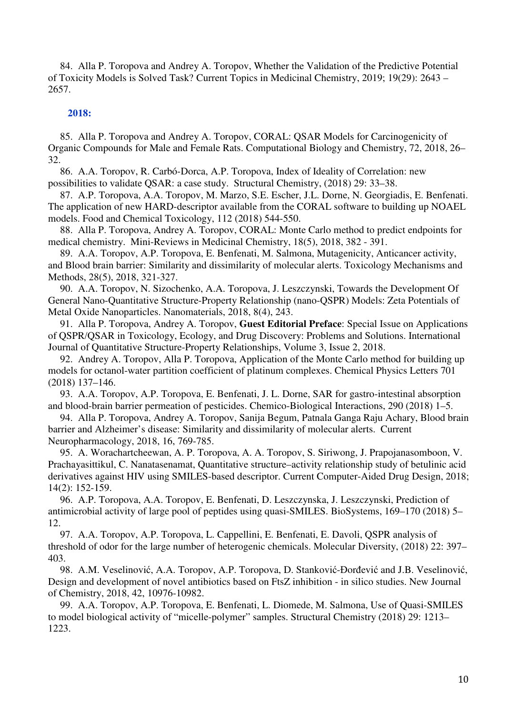84. Alla P. Toropova and Andrey A. Toropov, Whether the Validation of the Predictive Potential of Toxicity Models is Solved Task? Current Topics in Medicinal Chemistry, 2019; 19(29): 2643 – 2657.

# **2018:**

85. Alla P. Toropova and Andrey A. Toropov, CORAL: QSAR Models for Carcinogenicity of Organic Compounds for Male and Female Rats. Computational Biology and Chemistry, 72, 2018, 26– 32.

86. A.A. Toropov, R. Carbó-Dorca, A.P. Toropova, Index of Ideality of Correlation: new possibilities to validate QSAR: a case study. Structural Chemistry, (2018) 29: 33–38.

87. A.P. Toropova, A.A. Toropov, M. Marzo, S.E. Escher, J.L. Dorne, N. Georgiadis, E. Benfenati. The application of new HARD-descriptor available from the CORAL software to building up NOAEL models. Food and Chemical Toxicology, 112 (2018) 544-550.

88. Alla P. Toropova, Andrey A. Toropov, CORAL: Monte Carlo method to predict endpoints for medical chemistry. Mini-Reviews in Medicinal Chemistry, 18(5), 2018, 382 - 391.

89. A.A. Toropov, A.P. Toropova, E. Benfenati, M. Salmona, Mutagenicity, Anticancer activity, and Blood brain barrier: Similarity and dissimilarity of molecular alerts. Toxicology Mechanisms and Methods, 28(5), 2018, 321-327.

90. A.A. Toropov, N. Sizochenko, A.A. Toropova, J. Leszczynski, Towards the Development Of General Nano-Quantitative Structure-Property Relationship (nano-QSPR) Models: Zeta Potentials of Metal Oxide Nanoparticles. Nanomaterials, 2018, 8(4), 243.

91. Alla P. Toropova, Andrey A. Toropov, **Guest Editorial Preface**: Special Issue on Applications of QSPR/QSAR in Toxicology, Ecology, and Drug Discovery: Problems and Solutions. International Journal of Quantitative Structure-Property Relationships, Volume 3, Issue 2, 2018.

92. Andrey A. Toropov, Alla P. Toropova, Application of the Monte Carlo method for building up models for octanol-water partition coefficient of platinum complexes. Chemical Physics Letters 701 (2018) 137–146.

93. A.A. Toropov, A.P. Toropova, E. Benfenati, J. L. Dorne, SAR for gastro-intestinal absorption and blood-brain barrier permeation of pesticides. Chemico-Biological Interactions, 290 (2018) 1–5.

94. Alla P. Toropova, Andrey A. Toropov, Sanija Begum, Patnala Ganga Raju Achary, Blood brain barrier and Alzheimer's disease: Similarity and dissimilarity of molecular alerts. Current Neuropharmacology, 2018, 16, 769-785.

95. A. Worachartcheewan, A. P. Toropova, A. A. Toropov, S. Siriwong, J. Prapojanasomboon, V. Prachayasittikul, C. Nanatasenamat, Quantitative structure–activity relationship study of betulinic acid derivatives against HIV using SMILES-based descriptor. Current Computer-Aided Drug Design, 2018; 14(2): 152-159.

96. A.P. Toropova, A.A. Toropov, E. Benfenati, D. Leszczynska, J. Leszczynski, Prediction of antimicrobial activity of large pool of peptides using quasi-SMILES. BioSystems, 169–170 (2018) 5– 12.

97. A.A. Toropov, A.P. Toropova, L. Cappellini, E. Benfenati, E. Davoli, QSPR analysis of threshold of odor for the large number of heterogenic chemicals. Molecular Diversity, (2018) 22: 397– 403.

98. A.M. Veselinović, A.A. Toropov, A.P. Toropova, D. Stanković-Đorđević and J.B. Veselinović, Design and development of novel antibiotics based on FtsZ inhibition - in silico studies. New Journal of Chemistry, 2018, 42, 10976-10982.

99. A.A. Toropov, A.P. Toropova, E. Benfenati, L. Diomede, M. Salmona, Use of Quasi-SMILES to model biological activity of "micelle-polymer" samples. Structural Chemistry (2018) 29: 1213– 1223.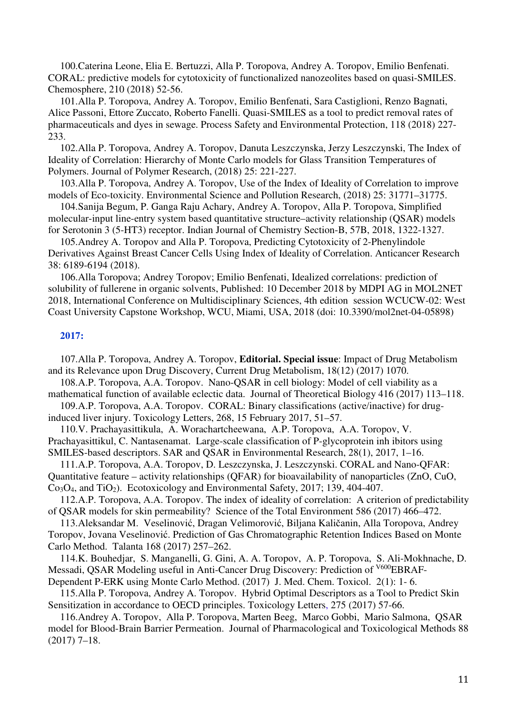100.Caterina Leone, Elia E. Bertuzzi, Alla P. Toropova, Andrey A. Toropov, Emilio Benfenati. CORAL: predictive models for cytotoxicity of functionalized nanozeolites based on quasi-SMILES. Chemosphere, 210 (2018) 52-56.

101.Alla P. Toropova, Andrey A. Toropov, Emilio Benfenati, Sara Castiglioni, Renzo Bagnati, Alice Passoni, Ettore Zuccato, Roberto Fanelli. Quasi-SMILES as a tool to predict removal rates of pharmaceuticals and dyes in sewage. Process Safety and Environmental Protection, 118 (2018) 227- 233.

102.Alla P. Toropova, Andrey A. Toropov, Danuta Leszczynska, Jerzy Leszczynski, The Index of Ideality of Correlation: Hierarchy of Monte Carlo models for Glass Transition Temperatures of Polymers. Journal of Polymer Research, (2018) 25: 221-227.

103.Alla P. Toropova, Andrey A. Toropov, Use of the Index of Ideality of Correlation to improve models of Eco-toxicity. Environmental Science and Pollution Research, (2018) 25: 31771–31775.

104.Sanija Begum, P. Ganga Raju Achary, Andrey A. Toropov, Alla P. Toropova, Simplified molecular-input line-entry system based quantitative structure–activity relationship (QSAR) models for Serotonin 3 (5-HT3) receptor. Indian Journal of Chemistry Section-B, 57B, 2018, 1322-1327.

105.Andrey A. Toropov and Alla P. Toropova, Predicting Cytotoxicity of 2-Phenylindole Derivatives Against Breast Cancer Cells Using Index of Ideality of Correlation. Anticancer Research 38: 6189-6194 (2018).

106.Alla Toropova; Andrey Toropov; Emilio Benfenati, Idealized correlations: prediction of solubility of fullerene in organic solvents, Published: 10 December 2018 by MDPI AG in MOL2NET 2018, International Conference on Multidisciplinary Sciences, 4th edition session WCUCW-02: West Coast University Capstone Workshop, WCU, Miami, USA, 2018 (doi: 10.3390/mol2net-04-05898)

# **2017:**

107.Alla P. Toropova, Andrey A. Toropov, **Editorial. Special issue**: Impact of Drug Metabolism and its Relevance upon Drug Discovery, Current Drug Metabolism, 18(12) (2017) 1070.

108.A.P. Toropova, A.A. Toropov. Nano-QSAR in cell biology: Model of cell viability as a mathematical function of available eclectic data. Journal of Theoretical Biology 416 (2017) 113–118.

109.A.P. Toropova, A.A. Toropov. CORAL: Binary classifications (active/inactive) for druginduced liver injury. Toxicology Letters, 268, 15 February 2017, 51–57.

110.V. Prachayasittikula, A. Worachartcheewana, A.P. Toropova, A.A. Toropov, V. Prachayasittikul, C. Nantasenamat. Large-scale classification of P-glycoprotein inh ibitors using SMILES-based descriptors. SAR and QSAR in Environmental Research, 28(1), 2017, 1–16.

111.A.P. Toropova, A.A. Toropov, D. Leszczynska, J. Leszczynski. CORAL and Nano-QFAR: Quantitative feature – activity relationships (QFAR) for bioavailability of nanoparticles (ZnO, CuO, Co<sub>3</sub>O<sub>4</sub>, and TiO<sub>2</sub>). Ecotoxicology and Environmental Safety, 2017; 139, 404-407.

112.A.P. Toropova, A.A. Toropov. The index of ideality of correlation: A criterion of predictability of QSAR models for skin permeability? Science of the Total Environment 586 (2017) 466–472.

113.Aleksandar M. Veselinović, Dragan Velimorović, Biljana Kaličanin, Alla Toropova, Andrey Toropov, Jovana Veselinović. Prediction of Gas Chromatographic Retention Indices Based on Monte Carlo Method. Talanta 168 (2017) 257–262.

114.K. Bouhedjar, S. Manganelli, G. Gini, A. A. Toropov, A. P. Toropova, S. Ali-Mokhnache, D. Messadi, QSAR Modeling useful in Anti-Cancer Drug Discovery: Prediction of <sup>V600</sup>EBRAF-Dependent P-ERK using Monte Carlo Method. (2017) J. Med. Chem. Toxicol. 2(1): 1- 6.

115.Alla P. Toropova, Andrey A. Toropov. Hybrid Optimal Descriptors as a Tool to Predict Skin Sensitization in accordance to OECD principles. Toxicology Letters, 275 (2017) 57-66.

116.Andrey A. Toropov, Alla P. Toropova, Marten Beeg, Marco Gobbi, Mario Salmona, QSAR model for Blood-Brain Barrier Permeation. Journal of Pharmacological and Toxicological Methods 88 (2017) 7–18.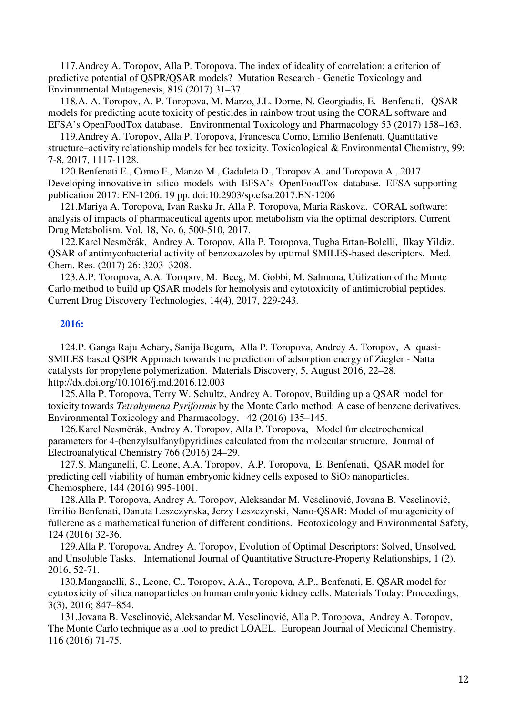117.Andrey A. Toropov, Alla P. Toropova. The index of ideality of correlation: a criterion of predictive potential of QSPR/QSAR models? Mutation Research - Genetic Toxicology and Environmental Mutagenesis, 819 (2017) 31–37.

118.A. A. Toropov, A. P. Toropova, M. Marzo, J.L. Dorne, N. Georgiadis, E. Benfenati, QSAR models for predicting acute toxicity of pesticides in rainbow trout using the CORAL software and EFSA's OpenFoodTox database. Environmental Toxicology and Pharmacology 53 (2017) 158–163.

119.Andrey A. Toropov, Alla P. Toropova, Francesca Como, Emilio Benfenati, Quantitative structure–activity relationship models for bee toxicity. Toxicological & Environmental Chemistry, 99: 7-8, 2017, 1117-1128.

120.Benfenati E., Como F., Manzo M., Gadaleta D., Toropov A. and Toropova A., 2017. Developing innovative in silico models with EFSA's OpenFoodTox database. EFSA supporting publication 2017: EN-1206. 19 pp. doi:10.2903/sp.efsa.2017.EN-1206

121.Mariya A. Toropova, Ivan Raska Jr, Alla P. Toropova, Maria Raskova. CORAL software: analysis of impacts of pharmaceutical agents upon metabolism via the optimal descriptors. Current Drug Metabolism. Vol. 18, No. 6, 500-510, 2017.

122.Karel Nesměrák, Andrey A. Toropov, Alla P. Toropova, Tugba Ertan-Bolelli, Ilkay Yildiz. QSAR of antimycobacterial activity of benzoxazoles by optimal SMILES-based descriptors. Med. Chem. Res. (2017) 26: 3203–3208.

123.A.P. Toropova, A.A. Toropov, M. Beeg, M. Gobbi, M. Salmona, Utilization of the Monte Carlo method to build up QSAR models for hemolysis and cytotoxicity of antimicrobial peptides. Current Drug Discovery Technologies, 14(4), 2017, 229-243.

### **2016:**

124.P. Ganga Raju Achary, Sanija Begum, Alla P. Toropova, Andrey A. Toropov, A quasi-SMILES based QSPR Approach towards the prediction of adsorption energy of Ziegler - Natta catalysts for propylene polymerization. Materials Discovery, 5, August 2016, 22–28. http://dx.doi.org/10.1016/j.md.2016.12.003

125.Alla P. Toropova, Terry W. Schultz, Andrey A. Toropov, Building up a QSAR model for toxicity towards *Tetrahymena Pyriformis* by the Monte Carlo method: A case of benzene derivatives. Environmental Toxicology and Pharmacology, 42 (2016) 135–145.

126.Karel Nesměrák, Andrey A. Toropov, Alla P. Toropova, Model for electrochemical parameters for 4-(benzylsulfanyl)pyridines calculated from the molecular structure. Journal of Electroanalytical Chemistry 766 (2016) 24–29.

127.S. Manganelli, C. Leone, A.A. Toropov, A.P. Toropova, E. Benfenati, QSAR model for predicting cell viability of human embryonic kidney cells exposed to  $SiO<sub>2</sub>$  nanoparticles. Chemosphere, 144 (2016) 995-1001.

128.Alla P. Toropova, Andrey A. Toropov, Aleksandar M. Veselinović, Jovana B. Veselinović, Emilio Benfenati, Danuta Leszczynska, Jerzy Leszczynski, Nano-QSAR: Model of mutagenicity of fullerene as a mathematical function of different conditions. Ecotoxicology and Environmental Safety, 124 (2016) 32-36.

129.Alla P. Toropova, Andrey A. Toropov, Evolution of Optimal Descriptors: Solved, Unsolved, and Unsoluble Tasks. International Journal of Quantitative Structure-Property Relationships, 1 (2), 2016, 52-71.

130.Manganelli, S., Leone, C., Toropov, A.A., Toropova, A.P., Benfenati, E. QSAR model for cytotoxicity of silica nanoparticles on human embryonic kidney cells. Materials Today: Proceedings, 3(3), 2016; 847–854.

131.Jovana B. Veselinović, Aleksandar M. Veselinović, Alla P. Toropova, Andrey A. Toropov, The Monte Carlo technique as a tool to predict LOAEL. European Journal of Medicinal Chemistry, 116 (2016) 71-75.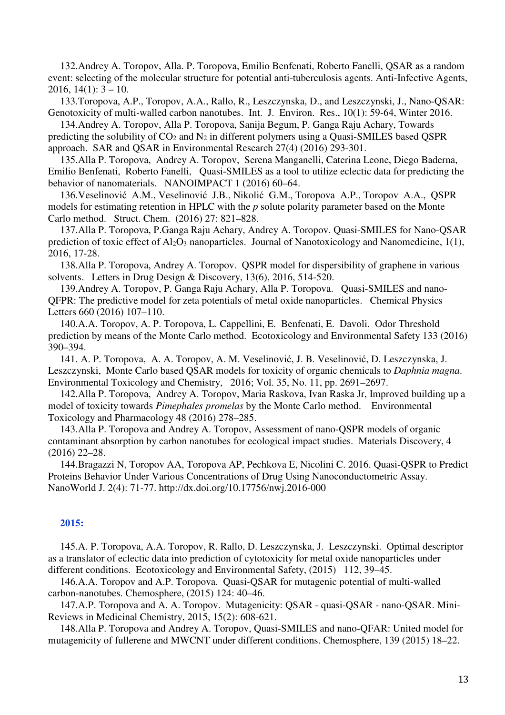132.Andrey A. Toropov, Alla. P. Toropova, Emilio Benfenati, Roberto Fanelli, QSAR as a random event: selecting of the molecular structure for potential anti-tuberculosis agents. Anti-Infective Agents, 2016,  $14(1)$ :  $3 - 10$ .

133.Toropova, A.P., Toropov, A.A., Rallo, R., Leszczynska, D., and Leszczynski, J., Nano-QSAR: Genotoxicity of multi-walled carbon nanotubes. Int. J. Environ. Res., 10(1): 59-64, Winter 2016.

134.Andrey A. Toropov, Alla P. Toropova, Sanija Begum, P. Ganga Raju Achary, Towards predicting the solubility of  $CO<sub>2</sub>$  and  $N<sub>2</sub>$  in different polymers using a Quasi-SMILES based QSPR approach. SAR and QSAR in Environmental Research 27(4) (2016) 293-301.

135.Alla P. Toropova, Andrey A. Toropov, Serena Manganelli, Caterina Leone, Diego Baderna, Emilio Benfenati, Roberto Fanelli, Quasi-SMILES as a tool to utilize eclectic data for predicting the behavior of nanomaterials. NANOIMPACT 1 (2016) 60–64.

136.Veselinović A.M., Veselinović J.B., Nikolić G.M., Toropova A.P., Toropov A.A., QSPR models for estimating retention in HPLC with the *p* solute polarity parameter based on the Monte Carlo method. Struct. Chem. (2016) 27: 821–828.

137.Alla P. Toropova, P.Ganga Raju Achary, Andrey A. Toropov. Quasi-SMILES for Nano-QSAR prediction of toxic effect of  $Al_2O_3$  nanoparticles. Journal of Nanotoxicology and Nanomedicine, 1(1), 2016, 17-28.

138.Alla P. Toropova, Andrey A. Toropov. QSPR model for dispersibility of graphene in various solvents. Letters in Drug Design & Discovery, 13(6), 2016, 514-520.

139.Andrey A. Toropov, P. Ganga Raju Achary, Alla P. Toropova. Quasi-SMILES and nano-QFPR: The predictive model for zeta potentials of metal oxide nanoparticles. Chemical Physics Letters 660 (2016) 107–110.

140.A.A. Toropov, A. P. Toropova, L. Cappellini, E. Benfenati, E. Davoli. Odor Threshold prediction by means of the Monte Carlo method. Ecotoxicology and Environmental Safety 133 (2016) 390–394.

141. A. P. Toropova, A. A. Toropov, A. M. Veselinović, J. B. Veselinović, D. Leszczynska, J. Leszczynski, Monte Carlo based QSAR models for toxicity of organic chemicals to *Daphnia magna*. Environmental Toxicology and Chemistry, 2016; Vol. 35, No. 11, pp. 2691–2697.

142.Alla P. Toropova, Andrey A. Toropov, Maria Raskova, Ivan Raska Jr, Improved building up a model of toxicity towards *Pimephales promelas* by the Monte Carlo method. Environmental Toxicology and Pharmacology 48 (2016) 278–285.

143.Alla P. Toropova and Andrey A. Toropov, Assessment of nano-QSPR models of organic contaminant absorption by carbon nanotubes for ecological impact studies. Materials Discovery, 4 (2016) 22–28.

144.Bragazzi N, Toropov AA, Toropova AP, Pechkova E, Nicolini C. 2016. Quasi-QSPR to Predict Proteins Behavior Under Various Concentrations of Drug Using Nanoconductometric Assay. NanoWorld J. 2(4): 71-77. http://dx.doi.org/10.17756/nwj.2016-000

# **2015:**

145.A. P. Toropova, A.A. Toropov, R. Rallo, D. Leszczynska, J. Leszczynski. Optimal descriptor as a translator of eclectic data into prediction of cytotoxicity for metal oxide nanoparticles under different conditions. Ecotoxicology and Environmental Safety, (2015) 112, 39–45.

146.A.A. Toropov and A.P. Toropova. Quasi-QSAR for mutagenic potential of multi-walled carbon-nanotubes. Chemosphere, (2015) 124: 40–46.

147.A.P. Toropova and A. A. Toropov. Mutagenicity: QSAR - quasi-QSAR - nano-QSAR. Mini-Reviews in Medicinal Chemistry, 2015, 15(2): 608-621.

148.Alla P. Toropova and Andrey A. Toropov, Quasi-SMILES and nano-QFAR: United model for mutagenicity of fullerene and MWCNT under different conditions. Chemosphere, 139 (2015) 18–22.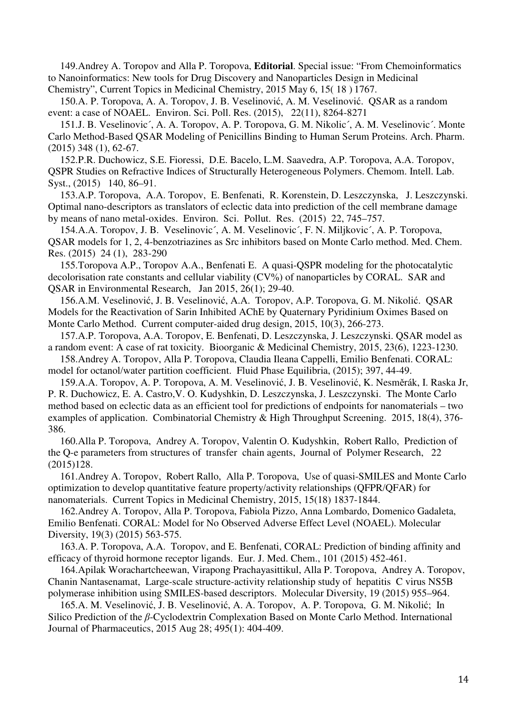149.Andrey A. Toropov and Alla P. Toropova, **Editorial**. Special issue: "From Chemoinformatics to Nanoinformatics: New tools for Drug Discovery and Nanoparticles Design in Medicinal Chemistry", Current Topics in Medicinal Chemistry, 2015 May 6, 15( 18 ) 1767.

150.A. P. Toropova, A. A. Toropov, J. B. Veselinović, A. M. Veselinović. QSAR as a random event: a case of NOAEL. Environ. Sci. Poll. Res. (2015), 22(11), 8264-8271

151.J. B. Veselinovic´, A. A. Toropov, A. P. Toropova, G. M. Nikolic´, A. M. Veselinovic´. Monte Carlo Method-Based QSAR Modeling of Penicillins Binding to Human Serum Proteins. Arch. Pharm. (2015) 348 (1), 62-67.

152.P.R. Duchowicz, S.E. Fioressi, D.E. Bacelo, L.M. Saavedra, A.P. Toropova, A.A. Toropov, QSPR Studies on Refractive Indices of Structurally Heterogeneous Polymers. Chemom. Intell. Lab. Syst., (2015) 140, 86–91.

153.A.P. Toropova, A.A. Toropov, E. Benfenati, R. Korenstein, D. Leszczynska, J. Leszczynski. Optimal nano-descriptors as translators of eclectic data into prediction of the cell membrane damage by means of nano metal-oxides. Environ. Sci. Pollut. Res. (2015) 22, 745–757.

154.A.A. Toropov, J. B. Veselinovic´, A. M. Veselinovic´, F. N. Miljkovic´, A. P. Toropova, QSAR models for 1, 2, 4-benzotriazines as Src inhibitors based on Monte Carlo method. Med. Chem. Res. (2015) 24 (1), 283-290

155.Toropova A.P., Toropov A.A., Benfenati E. A quasi-QSPR modeling for the photocatalytic decolorisation rate constants and cellular viability (CV%) of nanoparticles by CORAL. SAR and QSAR in Environmental Research, Jan 2015, 26(1); 29-40.

156.A.M. Veselinović, J. B. Veselinović, A.A. Toropov, A.P. Toropova, G. M. Nikolić. QSAR Models for the Reactivation of Sarin Inhibited AChE by Quaternary Pyridinium Oximes Based on Monte Carlo Method. Current computer-aided drug design, 2015, 10(3), 266-273.

157.A.P. Toropova, A.A. Toropov, E. Benfenati, D. Leszczynska, J. Leszczynski. QSAR model as a random event: A case of rat toxicity. Bioorganic & Medicinal Chemistry, 2015, 23(6), 1223-1230.

158.Andrey A. Toropov, Alla P. Toropova, Claudia Ileana Cappelli, Emilio Benfenati. CORAL: model for octanol/water partition coefficient. Fluid Phase Equilibria, (2015); 397, 44-49.

159.A.A. Toropov, A. P. Toropova, A. M. Veselinović, J. B. Veselinović, K. Nesměrák, I. Raska Jr, P. R. Duchowicz, E. A. Castro,V. O. Kudyshkin, D. Leszczynska, J. Leszczynski. The Monte Carlo method based on eclectic data as an efficient tool for predictions of endpoints for nanomaterials – two examples of application. Combinatorial Chemistry & High Throughput Screening. 2015, 18(4), 376- 386.

160.Alla P. Toropova, Andrey A. Toropov, Valentin O. Kudyshkin, Robert Rallo, Prediction of the Q-e parameters from structures of transfer chain agents, Journal of Polymer Research, 22 (2015)128.

161.Andrey A. Toropov, Robert Rallo, Alla P. Toropova, Use of quasi-SMILES and Monte Carlo optimization to develop quantitative feature property/activity relationships (QFPR/QFAR) for nanomaterials. Current Topics in Medicinal Chemistry, 2015, 15(18) 1837-1844.

162.Andrey A. Toropov, Alla P. Toropova, Fabiola Pizzo, Anna Lombardo, Domenico Gadaleta, Emilio Benfenati. CORAL: Model for No Observed Adverse Effect Level (NOAEL). Molecular Diversity, 19(3) (2015) 563-575.

163.A. P. Toropova, A.A. Toropov, and E. Benfenati, CORAL: Prediction of binding affinity and efficacy of thyroid hormone receptor ligands. Eur. J. Med. Chem., 101 (2015) 452-461.

164.Apilak Worachartcheewan, Virapong Prachayasittikul, Alla P. Toropova, Andrey A. Toropov, Chanin Nantasenamat, Large-scale structure-activity relationship study of hepatitis C virus NS5B polymerase inhibition using SMILES-based descriptors. Molecular Diversity, 19 (2015) 955–964.

165.A. M. Veselinović, J. B. Veselinović, A. A. Toropov, A. P. Toropova, G. M. Nikolić; In Silico Prediction of the *β*-Cyclodextrin Complexation Based on Monte Carlo Method. International Journal of Pharmaceutics, 2015 Aug 28; 495(1): 404-409.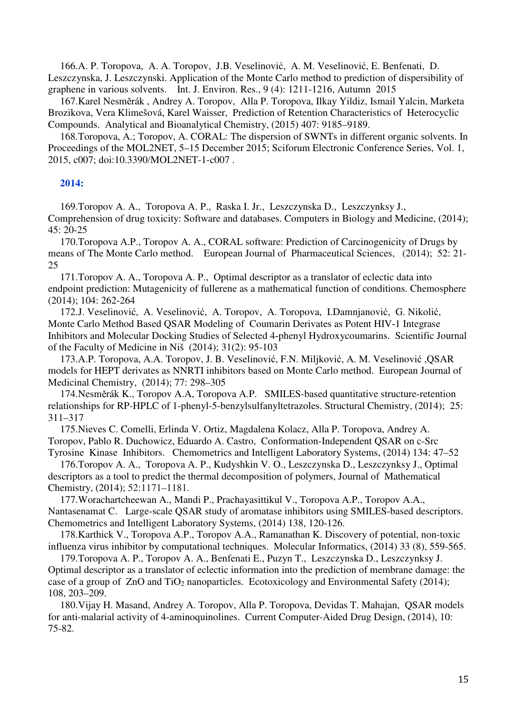166.A. P. Toropova, A. A. Toropov, J.B. Veselinović, A. M. Veselinović, E. Benfenati, D. Leszczynska, J. Leszczynski. Application of the Monte Carlo method to prediction of dispersibility of graphene in various solvents. Int. J. Environ. Res., 9 (4): 1211-1216, Autumn 2015

167.Karel Nesměrák , Andrey A. Toropov, Alla P. Toropova, Ilkay Yildiz, Ismail Yalcin, Marketa Brozikova, Vera Klimešová, Karel Waisser, Prediction of Retention Characteristics of Heterocyclic Compounds. Analytical and Bioanalytical Chemistry, (2015) 407: 9185–9189.

168.Toropova, A.; Toropov, A. CORAL: The dispersion of SWNTs in different organic solvents. In Proceedings of the MOL2NET, 5–15 December 2015; Sciforum Electronic Conference Series, Vol. 1, 2015, c007; doi:10.3390/MOL2NET-1-c007 .

# **2014:**

169.Toropov A. A., Toropova A. P., Raska I. Jr., Leszczynska D., Leszczynksy J., Comprehension of drug toxicity: Software and databases. Computers in Biology and Medicine, (2014); 45: 20-25

170.Toropova A.P., Toropov A. A., CORAL software: Prediction of Carcinogenicity of Drugs by means of The Monte Carlo method. European Journal of Pharmaceutical Sciences, (2014); 52: 21- 25

171.Toropov A. A., Toropova A. P., Optimal descriptor as a translator of eclectic data into endpoint prediction: Mutagenicity of fullerene as a mathematical function of conditions. Chemosphere (2014); 104: 262-264

172.J. Veselinović, A. Veselinović, A. Toropov, A. Toropova, I.Damnjanović, G. Nikolić, Monte Carlo Method Based OSAR Modeling of Coumarin Derivates as Potent HIV-1 Integrase Inhibitors and Molecular Docking Studies of Selected 4‐phenyl Hydroxycoumarins. Scientific Journal of the Faculty of Medicine in Niš (2014); 31(2): 95-103

173.A.P. Toropova, A.A. Toropov, J. B. Veselinović, F.N. Miljković, A. M. Veselinović ,QSAR models for HEPT derivates as NNRTI inhibitors based on Monte Carlo method. European Journal of Medicinal Chemistry, (2014); 77: 298–305

174.Nesměrák K., Toropov A.A, Toropova A.P. SMILES-based quantitative structure-retention relationships for RP-HPLC of 1-phenyl-5-benzylsulfanyltetrazoles. Structural Chemistry, (2014); 25: 311–317

175.Nieves C. Comelli, Erlinda V. Ortiz, Magdalena Kolacz, Alla P. Toropova, Andrey A. Toropov, Pablo R. Duchowicz, Eduardo A. Castro, Conformation-Independent QSAR on c-Src Tyrosine Kinase Inhibitors. Chemometrics and Intelligent Laboratory Systems, (2014) 134: 47–52

176.Toropov A. A., Toropova A. P., Kudyshkin V. O., Leszczynska D., Leszczynksy J., Optimal descriptors as a tool to predict the thermal decomposition of polymers, Journal of Mathematical Chemistry, (2014); 52:1171–1181.

177.Worachartcheewan A., Mandi P., Prachayasittikul V., Toropova A.P., Toropov A.A., Nantasenamat C. Large-scale QSAR study of aromatase inhibitors using SMILES-based descriptors. Chemometrics and Intelligent Laboratory Systems, (2014) 138, 120-126.

178.Karthick V., Toropova A.P., Toropov A.A., Ramanathan K. Discovery of potential, non-toxic influenza virus inhibitor by computational techniques. Molecular Informatics, (2014) 33 (8), 559-565.

179.Toropova A. P., Toropov A. A., Benfenati E., Puzyn T., Leszczynska D., Leszczynksy J. Optimal descriptor as a translator of eclectic information into the prediction of membrane damage: the case of a group of ZnO and TiO2 nanoparticles. Ecotoxicology and Environmental Safety (2014); 108, 203–209.

180.Vijay H. Masand, Andrey A. Toropov, Alla P. Toropova, Devidas T. Mahajan, QSAR models for anti-malarial activity of 4-aminoquinolines. Current Computer-Aided Drug Design, (2014), 10: 75-82.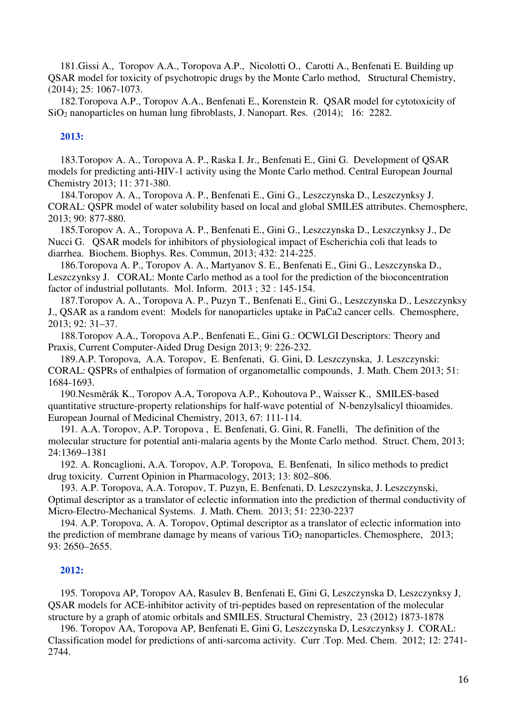181.Gissi A., Toropov A.A., Toropova A.P., Nicolotti O., Carotti A., Benfenati E. Building up QSAR model for toxicity of psychotropic drugs by the Monte Carlo method, Structural Chemistry, (2014); 25: 1067-1073.

182.Toropova A.P., Toropov A.A., Benfenati E., Korenstein R. QSAR model for cytotoxicity of SiO2 nanoparticles on human lung fibroblasts, J. Nanopart. Res. (2014); 16: 2282.

## **2013:**

183.Toropov A. A., Toropova A. P., Raska I. Jr., Benfenati E., Gini G. Development of QSAR models for predicting anti-HIV-1 activity using the Monte Carlo method. Central European Journal Chemistry 2013; 11: 371-380.

184.Toropov A. A., Toropova A. P., Benfenati E., Gini G., Leszczynska D., Leszczynksy J. CORAL: QSPR model of water solubility based on local and global SMILES attributes. Chemosphere, 2013; 90: 877-880.

185.Toropov A. A., Toropova A. P., Benfenati E., Gini G., Leszczynska D., Leszczynksy J., De Nucci G. QSAR models for inhibitors of physiological impact of Escherichia coli that leads to diarrhea. Biochem. Biophys. Res. Commun, 2013; 432: 214-225.

186.Toropova A. P., Toropov A. A., Martyanov S. E., Benfenati E., Gini G., Leszczynska D., Leszczynksy J. CORAL: Monte Carlo method as a tool for the prediction of the bioconcentration factor of industrial pollutants. Mol. Inform. 2013 ; 32 : 145-154.

187.Toropov A. A., Toropova A. P., Puzyn T., Benfenati E., Gini G., Leszczynska D., Leszczynksy J., QSAR as a random event: Models for nanoparticles uptake in PaCa2 cancer cells. Chemosphere, 2013; 92: 31–37.

188.Toropov A.A., Toropova A.P., Benfenati E., Gini G.: OCWLGI Descriptors: Theory and Praxis, Current Computer-Aided Drug Design 2013; 9: 226-232.

189.A.P. Toropova, A.A. Toropov, E. Benfenati, G. Gini, D. Leszczynska, J. Leszczynski: CORAL: QSPRs of enthalpies of formation of organometallic compounds, J. Math. Chem 2013; 51: 1684-1693.

190.Nesměrák K., Toropov A.A, Toropova A.P., Kohoutova P., Waisser K., SMILES-based quantitative structure-property relationships for half-wave potential of N-benzylsalicyl thioamides. European Journal of Medicinal Chemistry, 2013, 67: 111-114.

191. A.A. Toropov, A.P. Toropova , E. Benfenati, G. Gini, R. Fanelli, The definition of the molecular structure for potential anti-malaria agents by the Monte Carlo method. Struct. Chem, 2013; 24:1369–1381

192. A. Roncaglioni, A.A. Toropov, A.P. Toropova, E. Benfenati, In silico methods to predict drug toxicity. Current Opinion in Pharmacology, 2013; 13: 802–806.

193. A.P. Toropova, A.A. Toropov, T. Puzyn, E. Benfenati, D. Leszczynska, J. Leszczynski, Optimal descriptor as a translator of eclectic information into the prediction of thermal conductivity of Micro-Electro-Mechanical Systems. J. Math. Chem. 2013; 51: 2230-2237

194. A.P. Toropova, A. A. Toropov, Optimal descriptor as a translator of eclectic information into the prediction of membrane damage by means of various  $TiO<sub>2</sub>$  nanoparticles. Chemosphere, 2013; 93: 2650–2655.

#### **2012:**

195. Toropova AP, Toropov AA, Rasulev B, Benfenati E, Gini G, Leszczynska D, Leszczynksy J, QSAR models for ACE-inhibitor activity of tri-peptides based on representation of the molecular structure by a graph of atomic orbitals and SMILES. Structural Chemistry, 23 (2012) 1873-1878

196. Toropov AA, Toropova AP, Benfenati E, Gini G, Leszczynska D, Leszczynksy J. CORAL: Classification model for predictions of anti-sarcoma activity. Curr .Top. Med. Chem. 2012; 12: 2741- 2744.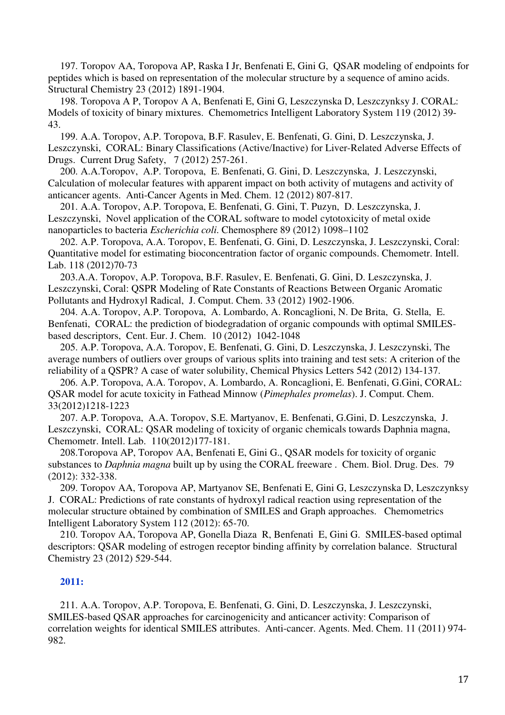197. Toropov AA, Toropova AP, Raska I Jr, Benfenati E, Gini G, QSAR modeling of endpoints for peptides which is based on representation of the molecular structure by a sequence of amino acids. Structural Chemistry 23 (2012) 1891-1904.

198. Toropova A P, Toropov A A, Benfenati E, Gini G, Leszczynska D, Leszczynksy J. CORAL: Models of toxicity of binary mixtures. Chemometrics Intelligent Laboratory System 119 (2012) 39- 43.

199. A.A. Toropov, A.P. Toropova, B.F. Rasulev, E. Benfenati, G. Gini, D. Leszczynska, J. Leszczynski, CORAL: Binary Classifications (Active/Inactive) for Liver-Related Adverse Effects of Drugs. Current Drug Safety, 7 (2012) 257-261.

200. A.A.Toropov, A.P. Toropova, E. Benfenati, G. Gini, D. Leszczynska, J. Leszczynski, Calculation of molecular features with apparent impact on both activity of mutagens and activity of anticancer agents. Anti-Cancer Agents in Med. Chem. 12 (2012) 807-817.

201. A.A. Toropov, A.P. Toropova, E. Benfenati, G. Gini, T. Puzyn, D. Leszczynska, J. Leszczynski, Novel application of the CORAL software to model cytotoxicity of metal oxide nanoparticles to bacteria *Escherichia coli*. Chemosphere 89 (2012) 1098–1102

202. A.P. Toropova, A.A. Toropov, E. Benfenati, G. Gini, D. Leszczynska, J. Leszczynski, Coral: Quantitative model for estimating bioconcentration factor of organic compounds. Chemometr. Intell. Lab. 118 (2012)70-73

203.A.A. Toropov, A.P. Toropova, B.F. Rasulev, E. Benfenati, G. Gini, D. Leszczynska, J. Leszczynski, Coral: QSPR Modeling of Rate Constants of Reactions Between Organic Aromatic Pollutants and Hydroxyl Radical, J. Comput. Chem. 33 (2012) 1902-1906.

204. A.A. Toropov, A.P. Toropova, A. Lombardo, A. Roncaglioni, N. De Brita, G. Stella, E. Benfenati, CORAL: the prediction of biodegradation of organic compounds with optimal SMILESbased descriptors, Cent. Eur. J. Chem. 10 (2012) 1042-1048

205. A.P. Toropova, A.A. Toropov, E. Benfenati, G. Gini, D. Leszczynska, J. Leszczynski, The average numbers of outliers over groups of various splits into training and test sets: A criterion of the reliability of a QSPR? A case of water solubility, Chemical Physics Letters 542 (2012) 134-137.

206. A.P. Toropova, A.A. Toropov, A. Lombardo, A. Roncaglioni, E. Benfenati, G.Gini, CORAL: QSAR model for acute toxicity in Fathead Minnow (*Pimephales promelas*). J. Comput. Chem. 33(2012)1218-1223

207. A.P. Toropova, A.A. Toropov, S.E. Martyanov, E. Benfenati, G.Gini, D. Leszczynska, J. Leszczynski, CORAL: QSAR modeling of toxicity of organic chemicals towards Daphnia magna, Chemometr. Intell. Lab. 110(2012)177-181.

208.Toropova AP, Toropov AA, Benfenati E, Gini G., QSAR models for toxicity of organic substances to *Daphnia magna* built up by using the CORAL freeware . Chem. Biol. Drug. Des. 79 (2012): 332-338.

209. Toropov AA, Toropova AP, Martyanov SE, Benfenati E, Gini G, Leszczynska D, Leszczynksy J. CORAL: Predictions of rate constants of hydroxyl radical reaction using representation of the molecular structure obtained by combination of SMILES and Graph approaches. Chemometrics Intelligent Laboratory System 112 (2012): 65-70.

210. Toropov AA, Toropova AP, Gonella Diaza R, Benfenati E, Gini G. SMILES-based optimal descriptors: QSAR modeling of estrogen receptor binding affinity by correlation balance. Structural Chemistry 23 (2012) 529-544.

# **2011:**

211. A.A. Toropov, A.P. Toropova, E. Benfenati, G. Gini, D. Leszczynska, J. Leszczynski, SMILES-based QSAR approaches for carcinogenicity and anticancer activity: Comparison of correlation weights for identical SMILES attributes. Anti-cancer. Agents. Med. Chem. 11 (2011) 974- 982.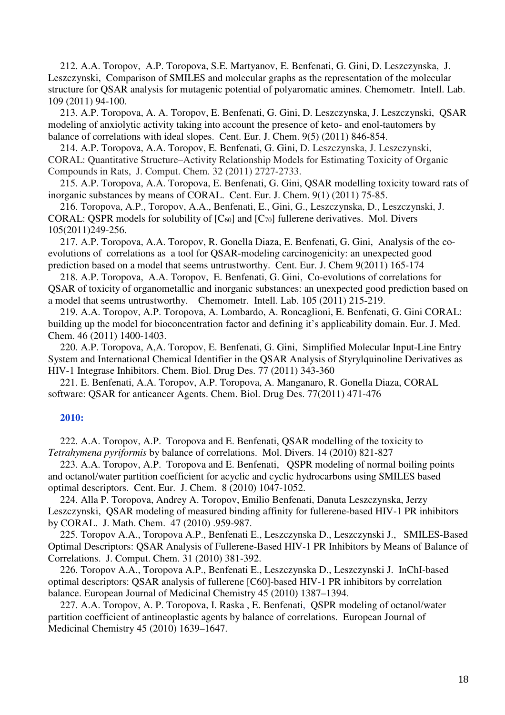212. A.A. Toropov, A.P. Toropova, S.E. Martyanov, E. Benfenati, G. Gini, D. Leszczynska, J. Leszczynski, Comparison of SMILES and molecular graphs as the representation of the molecular structure for QSAR analysis for mutagenic potential of polyaromatic amines. Chemometr. Intell. Lab. 109 (2011) 94-100.

213. A.P. Toropova, A. A. Toropov, E. Benfenati, G. Gini, D. Leszczynska, J. Leszczynski, QSAR modeling of anxiolytic activity taking into account the presence of keto- and enol-tautomers by balance of correlations with ideal slopes. Cent. Eur. J. Chem. 9(5) (2011) 846-854.

214. A.P. Toropova, A.A. Toropov, E. Benfenati, G. Gini, D. Leszczynska, J. Leszczynski, CORAL: Quantitative Structure–Activity Relationship Models for Estimating Toxicity of Organic Compounds in Rats, J. Comput. Chem. 32 (2011) 2727-2733.

215. A.P. Toropova, A.A. Toropova, E. Benfenati, G. Gini, QSAR modelling toxicity toward rats of inorganic substances by means of CORAL. Cent. Eur. J. Chem. 9(1) (2011) 75-85.

216. Toropova, A.P., Toropov, A.A., Benfenati, E., Gini, G., Leszczynska, D., Leszczynski, J. CORAL: QSPR models for solubility of  $[C<sub>60</sub>]$  and  $[C<sub>70</sub>]$  fullerene derivatives. Mol. Divers 105(2011)249-256.

217. A.P. Toropova, A.A. Toropov, R. Gonella Diaza, E. Benfenati, G. Gini, Analysis of the coevolutions of correlations as a tool for QSAR-modeling carcinogenicity: an unexpected good prediction based on a model that seems untrustworthy. Cent. Eur. J. Chem 9(2011) 165-174

218. A.P. Toropova, A.A. Toropov, E. Benfenati, G. Gini, Co-evolutions of correlations for QSAR of toxicity of organometallic and inorganic substances: an unexpected good prediction based on a model that seems untrustworthy. Chemometr. Intell. Lab. 105 (2011) 215-219.

219. A.A. Toropov, A.P. Toropova, A. Lombardo, A. Roncaglioni, E. Benfenati, G. Gini CORAL: building up the model for bioconcentration factor and defining it's applicability domain. Eur. J. Med. Chem. 46 (2011) 1400-1403.

220. A.P. Toropova, A,A. Toropov, E. Benfenati, G. Gini, Simplified Molecular Input-Line Entry System and International Chemical Identifier in the QSAR Analysis of Styrylquinoline Derivatives as HIV-1 Integrase Inhibitors. Chem. Biol. Drug Des. 77 (2011) 343-360

221. E. Benfenati, A.A. Toropov, A.P. Toropova, A. Manganaro, R. Gonella Diaza, CORAL software: QSAR for anticancer Agents. Chem. Biol. Drug Des. 77(2011) 471-476

# **2010:**

222. A.A. Toropov, A.P. Toropova and E. Benfenati, QSAR modelling of the toxicity to *Tetrahymena pyriformis* by balance of correlations. Mol. Divers. 14 (2010) 821-827

223. A.A. Toropov, A.P. Toropova and E. Benfenati, QSPR modeling of normal boiling points and octanol/water partition coefficient for acyclic and cyclic hydrocarbons using SMILES based optimal descriptors. Cent. Eur. J. Chem. 8 (2010) 1047-1052.

224. Alla P. Toropova, Andrey A. Toropov, Emilio Benfenati, Danuta Leszczynska, Jerzy Leszczynski, QSAR modeling of measured binding affinity for fullerene-based HIV-1 PR inhibitors by CORAL. J. Math. Chem. 47 (2010) .959-987.

225. Toropov A.A., Toropova A.P., Benfenati E., Leszczynska D., Leszczynski J., SMILES-Based Optimal Descriptors: QSAR Analysis of Fullerene-Based HIV-1 PR Inhibitors by Means of Balance of Correlations. J. Comput. Chem. 31 (2010) 381-392.

226. Toropov A.A., Toropova A.P., Benfenati E., Leszczynska D., Leszczynski J. InChI-based optimal descriptors: QSAR analysis of fullerene [C60]-based HIV-1 PR inhibitors by correlation balance. European Journal of Medicinal Chemistry 45 (2010) 1387–1394.

227. A.A. Toropov, A. P. Toropova, I. Raska , E. Benfenati, QSPR modeling of octanol/water partition coefficient of antineoplastic agents by balance of correlations. European Journal of Medicinal Chemistry 45 (2010) 1639–1647.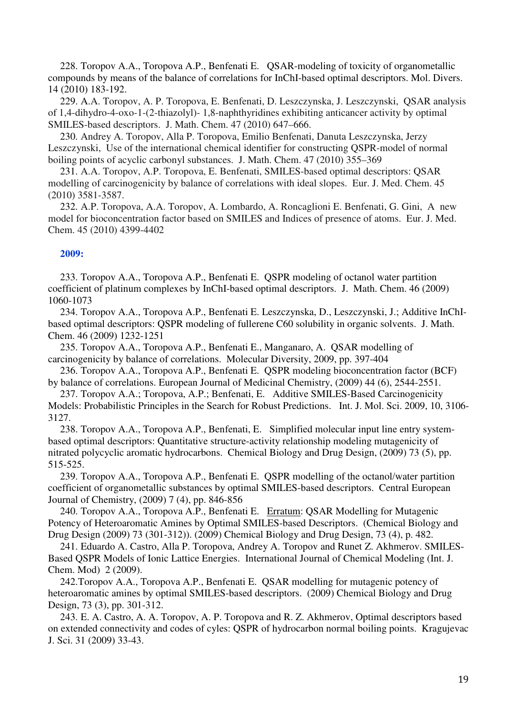228. Toropov A.A., Toropova A.P., Benfenati E. QSAR-modeling of toxicity of organometallic compounds by means of the balance of correlations for InChI-based optimal descriptors. Mol. Divers. 14 (2010) 183-192.

229. A.A. Toropov, A. P. Toropova, E. Benfenati, D. Leszczynska, J. Leszczynski, QSAR analysis of 1,4-dihydro-4-oxo-1-(2-thiazolyl)- 1,8-naphthyridines exhibiting anticancer activity by optimal SMILES-based descriptors. J. Math. Chem. 47 (2010) 647–666.

230. Andrey A. Toropov, Alla P. Toropova, Emilio Benfenati, Danuta Leszczynska, Jerzy Leszczynski, Use of the international chemical identifier for constructing QSPR-model of normal boiling points of acyclic carbonyl substances. J. Math. Chem. 47 (2010) 355–369

231. A.A. Toropov, A.P. Toropova, E. Benfenati, SMILES-based optimal descriptors: QSAR modelling of carcinogenicity by balance of correlations with ideal slopes. Eur. J. Med. Chem. 45 (2010) 3581-3587.

232. A.P. Toropova, A.A. Toropov, A. Lombardo, A. Roncaglioni E. Benfenati, G. Gini, A new model for bioconcentration factor based on SMILES and Indices of presence of atoms. Eur. J. Med. Chem. 45 (2010) 4399-4402

# **2009:**

233. Toropov A.A., Toropova A.P., Benfenati E. QSPR modeling of octanol water partition coefficient of platinum complexes by InChI-based optimal descriptors. J. Math. Chem. 46 (2009) 1060-1073

234. Toropov A.A., Toropova A.P., Benfenati E. Leszczynska, D., Leszczynski, J.; Additive InChIbased optimal descriptors: QSPR modeling of fullerene C60 solubility in organic solvents. J. Math. Chem. 46 (2009) 1232-1251

235. Toropov A.A., Toropova A.P., Benfenati E., Manganaro, A. QSAR modelling of carcinogenicity by balance of correlations. Molecular Diversity, 2009, pp. 397-404

236. Toropov A.A., Toropova A.P., Benfenati E. QSPR modeling bioconcentration factor (BCF) by balance of correlations. European Journal of Medicinal Chemistry, (2009) 44 (6), 2544-2551.

237. Toropov A.A.; Toropova, A.P.; Benfenati, E. Additive SMILES-Based Carcinogenicity Models: Probabilistic Principles in the Search for Robust Predictions. Int. J. Mol. Sci. 2009, 10, 3106- 3127.

238. Toropov A.A., Toropova A.P., Benfenati, E. Simplified molecular input line entry systembased optimal descriptors: Quantitative structure-activity relationship modeling mutagenicity of nitrated polycyclic aromatic hydrocarbons. Chemical Biology and Drug Design, (2009) 73 (5), pp. 515-525.

239. Toropov A.A., Toropova A.P., Benfenati E. QSPR modelling of the octanol/water partition coefficient of organometallic substances by optimal SMILES-based descriptors. Central European Journal of Chemistry, (2009) 7 (4), pp. 846-856

240. Toropov A.A., Toropova A.P., Benfenati E. Erratum: QSAR Modelling for Mutagenic Potency of Heteroaromatic Amines by Optimal SMILES-based Descriptors. (Chemical Biology and Drug Design (2009) 73 (301-312)). (2009) Chemical Biology and Drug Design, 73 (4), p. 482.

241. Eduardo A. Castro, Alla P. Toropova, Andrey A. Toropov and Runet Z. Akhmerov. SMILES-Based QSPR Models of Ionic Lattice Energies. International Journal of Chemical Modeling (Int. J. Chem. Mod) 2 (2009).

242.Toropov A.A., Toropova A.P., Benfenati E. QSAR modelling for mutagenic potency of heteroaromatic amines by optimal SMILES-based descriptors. (2009) Chemical Biology and Drug Design, 73 (3), pp. 301-312.

243. E. A. Castro, A. A. Toropov, A. P. Toropova and R. Z. Akhmerov, Optimal descriptors based on extended connectivity and codes of cyles: QSPR of hydrocarbon normal boiling points. Kragujevac J. Sci. 31 (2009) 33-43.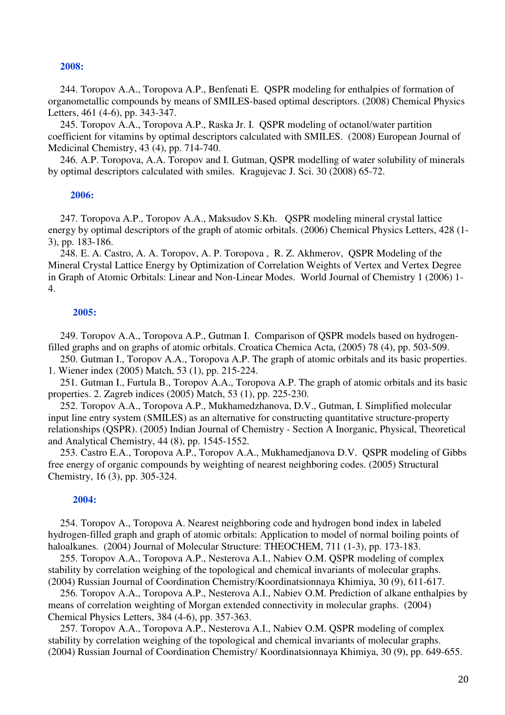#### **2008:**

244. Toropov A.A., Toropova A.P., Benfenati E. QSPR modeling for enthalpies of formation of organometallic compounds by means of SMILES-based optimal descriptors. (2008) Chemical Physics Letters, 461 (4-6), pp. 343-347.

245. Toropov A.A., Toropova A.P., Raska Jr. I. QSPR modeling of octanol/water partition coefficient for vitamins by optimal descriptors calculated with SMILES. (2008) European Journal of Medicinal Chemistry, 43 (4), pp. 714-740.

246. A.P. Toropova, A.A. Toropov and I. Gutman, QSPR modelling of water solubility of minerals by optimal descriptors calculated with smiles. Kragujevac J. Sci. 30 (2008) 65-72.

#### **2006:**

247. Toropova A.P., Toropov A.A., Maksudov S.Kh. QSPR modeling mineral crystal lattice energy by optimal descriptors of the graph of atomic orbitals. (2006) Chemical Physics Letters, 428 (1- 3), pp. 183-186.

248. E. A. Castro, A. A. Toropov, A. P. Toropova , R. Z. Akhmerov, QSPR Modeling of the Mineral Crystal Lattice Energy by Optimization of Correlation Weights of Vertex and Vertex Degree in Graph of Atomic Orbitals: Linear and Non-Linear Modes. World Journal of Chemistry 1 (2006) 1- 4.

#### **2005:**

249. Toropov A.A., Toropova A.P., Gutman I. Comparison of QSPR models based on hydrogenfilled graphs and on graphs of atomic orbitals. Croatica Chemica Acta, (2005) 78 (4), pp. 503-509.

250. Gutman I., Toropov A.A., Toropova A.P. The graph of atomic orbitals and its basic properties. 1. Wiener index (2005) Match, 53 (1), pp. 215-224.

251. Gutman I., Furtula B., Toropov A.A., Toropova A.P. The graph of atomic orbitals and its basic properties. 2. Zagreb indices (2005) Match, 53 (1), pp. 225-230.

252. Toropov A.A., Toropova A.P., Mukhamedzhanova, D.V., Gutman, I. Simplified molecular input line entry system (SMILES) as an alternative for constructing quantitative structure-property relationships (QSPR). (2005) Indian Journal of Chemistry - Section A Inorganic, Physical, Theoretical and Analytical Chemistry, 44 (8), pp. 1545-1552.

253. Castro E.A., Toropova A.P., Toropov A.A., Mukhamedjanova D.V. QSPR modeling of Gibbs free energy of organic compounds by weighting of nearest neighboring codes. (2005) Structural Chemistry, 16 (3), pp. 305-324.

#### **2004:**

254. Toropov A., Toropova A. Nearest neighboring code and hydrogen bond index in labeled hydrogen-filled graph and graph of atomic orbitals: Application to model of normal boiling points of haloalkanes. (2004) Journal of Molecular Structure: THEOCHEM, 711 (1-3), pp. 173-183.

255. Toropov A.A., Toropova A.P., Nesterova A.I., Nabiev O.M. QSPR modeling of complex stability by correlation weighing of the topological and chemical invariants of molecular graphs. (2004) Russian Journal of Coordination Chemistry/Koordinatsionnaya Khimiya, 30 (9), 611-617.

256. Toropov A.A., Toropova A.P., Nesterova A.I., Nabiev O.M. Prediction of alkane enthalpies by means of correlation weighting of Morgan extended connectivity in molecular graphs. (2004) Chemical Physics Letters, 384 (4-6), pp. 357-363.

257. Toropov A.A., Toropova A.P., Nesterova A.I., Nabiev O.M. QSPR modeling of complex stability by correlation weighing of the topological and chemical invariants of molecular graphs. (2004) Russian Journal of Coordination Chemistry/ Koordinatsionnaya Khimiya, 30 (9), pp. 649-655.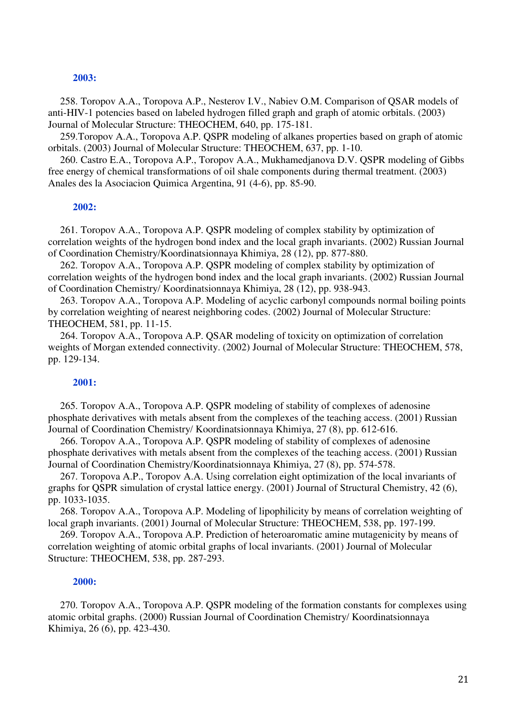#### **2003:**

258. Toropov A.A., Toropova A.P., Nesterov I.V., Nabiev O.M. Comparison of QSAR models of anti-HIV-1 potencies based on labeled hydrogen filled graph and graph of atomic orbitals. (2003) Journal of Molecular Structure: THEOCHEM, 640, pp. 175-181.

259.Toropov A.A., Toropova A.P. QSPR modeling of alkanes properties based on graph of atomic orbitals. (2003) Journal of Molecular Structure: THEOCHEM, 637, pp. 1-10.

260. Castro E.A., Toropova A.P., Toropov A.A., Mukhamedjanova D.V. QSPR modeling of Gibbs free energy of chemical transformations of oil shale components during thermal treatment. (2003) Anales des la Asociacion Quimica Argentina, 91 (4-6), pp. 85-90.

#### **2002:**

261. Toropov A.A., Toropova A.P. QSPR modeling of complex stability by optimization of correlation weights of the hydrogen bond index and the local graph invariants. (2002) Russian Journal of Coordination Chemistry/Koordinatsionnaya Khimiya, 28 (12), pp. 877-880.

262. Toropov A.A., Toropova A.P. QSPR modeling of complex stability by optimization of correlation weights of the hydrogen bond index and the local graph invariants. (2002) Russian Journal of Coordination Chemistry/ Koordinatsionnaya Khimiya, 28 (12), pp. 938-943.

263. Toropov A.A., Toropova A.P. Modeling of acyclic carbonyl compounds normal boiling points by correlation weighting of nearest neighboring codes. (2002) Journal of Molecular Structure: THEOCHEM, 581, pp. 11-15.

264. Toropov A.A., Toropova A.P. QSAR modeling of toxicity on optimization of correlation weights of Morgan extended connectivity. (2002) Journal of Molecular Structure: THEOCHEM, 578, pp. 129-134.

## **2001:**

265. Toropov A.A., Toropova A.P. QSPR modeling of stability of complexes of adenosine phosphate derivatives with metals absent from the complexes of the teaching access. (2001) Russian Journal of Coordination Chemistry/ Koordinatsionnaya Khimiya, 27 (8), pp. 612-616.

266. Toropov A.A., Toropova A.P. QSPR modeling of stability of complexes of adenosine phosphate derivatives with metals absent from the complexes of the teaching access. (2001) Russian Journal of Coordination Chemistry/Koordinatsionnaya Khimiya, 27 (8), pp. 574-578.

267. Toropova A.P., Toropov A.A. Using correlation eight optimization of the local invariants of graphs for QSPR simulation of crystal lattice energy. (2001) Journal of Structural Chemistry, 42 (6), pp. 1033-1035.

268. Toropov A.A., Toropova A.P. Modeling of lipophilicity by means of correlation weighting of local graph invariants. (2001) Journal of Molecular Structure: THEOCHEM, 538, pp. 197-199.

269. Toropov A.A., Toropova A.P. Prediction of heteroaromatic amine mutagenicity by means of correlation weighting of atomic orbital graphs of local invariants. (2001) Journal of Molecular Structure: THEOCHEM, 538, pp. 287-293.

#### **2000:**

270. Toropov A.A., Toropova A.P. QSPR modeling of the formation constants for complexes using atomic orbital graphs. (2000) Russian Journal of Coordination Chemistry/ Koordinatsionnaya Khimiya, 26 (6), pp. 423-430.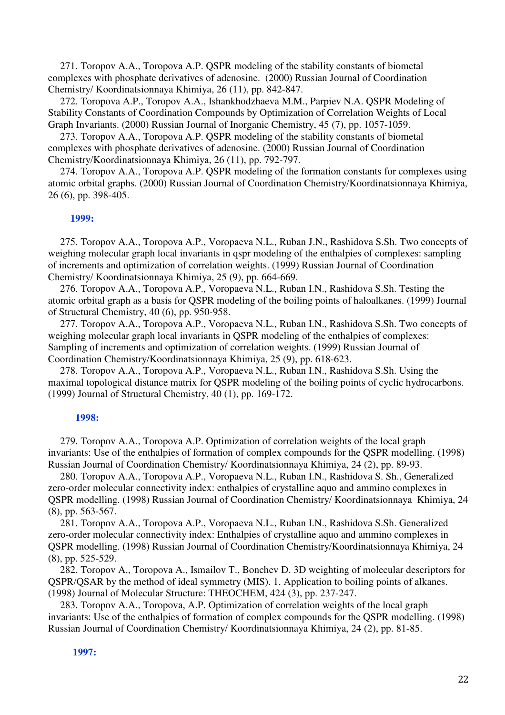271. Toropov A.A., Toropova A.P. QSPR modeling of the stability constants of biometal complexes with phosphate derivatives of adenosine. (2000) Russian Journal of Coordination Chemistry/ Koordinatsionnaya Khimiya, 26 (11), pp. 842-847.

272. Toropova A.P., Toropov A.A., Ishankhodzhaeva M.M., Parpiev N.A. QSPR Modeling of Stability Constants of Coordination Compounds by Optimization of Correlation Weights of Local Graph Invariants. (2000) Russian Journal of Inorganic Chemistry, 45 (7), pp. 1057-1059.

273. Toropov A.A., Toropova A.P. QSPR modeling of the stability constants of biometal complexes with phosphate derivatives of adenosine. (2000) Russian Journal of Coordination Chemistry/Koordinatsionnaya Khimiya, 26 (11), pp. 792-797.

274. Toropov A.A., Toropova A.P. QSPR modeling of the formation constants for complexes using atomic orbital graphs. (2000) Russian Journal of Coordination Chemistry/Koordinatsionnaya Khimiya, 26 (6), pp. 398-405.

#### **1999:**

275. Toropov A.A., Toropova A.P., Voropaeva N.L., Ruban J.N., Rashidova S.Sh. Two concepts of weighing molecular graph local invariants in qspr modeling of the enthalpies of complexes: sampling of increments and optimization of correlation weights. (1999) Russian Journal of Coordination Chemistry/ Koordinatsionnaya Khimiya, 25 (9), pp. 664-669.

276. Toropov A.A., Toropova A.P., Voropaeva N.L., Ruban I.N., Rashidova S.Sh. Testing the atomic orbital graph as a basis for QSPR modeling of the boiling points of haloalkanes. (1999) Journal of Structural Chemistry, 40 (6), pp. 950-958.

277. Toropov A.A., Toropova A.P., Voropaeva N.L., Ruban I.N., Rashidova S.Sh. Two concepts of weighing molecular graph local invariants in QSPR modeling of the enthalpies of complexes: Sampling of increments and optimization of correlation weights. (1999) Russian Journal of Coordination Chemistry/Koordinatsionnaya Khimiya, 25 (9), pp. 618-623.

278. Toropov A.A., Toropova A.P., Voropaeva N.L., Ruban I.N., Rashidova S.Sh. Using the maximal topological distance matrix for QSPR modeling of the boiling points of cyclic hydrocarbons. (1999) Journal of Structural Chemistry, 40 (1), pp. 169-172.

#### **1998:**

279. Toropov A.A., Toropova A.P. Optimization of correlation weights of the local graph invariants: Use of the enthalpies of formation of complex compounds for the QSPR modelling. (1998) Russian Journal of Coordination Chemistry/ Koordinatsionnaya Khimiya, 24 (2), pp. 89-93.

280. Toropov A.A., Toropova A.P., Voropaeva N.L., Ruban I.N., Rashidova S. Sh., Generalized zero-order molecular connectivity index: enthalpies of crystalline aquo and ammino complexes in QSPR modelling. (1998) Russian Journal of Coordination Chemistry/ Koordinatsionnaya Khimiya, 24 (8), pp. 563-567.

281. Toropov A.A., Toropova A.P., Voropaeva N.L., Ruban I.N., Rashidova S.Sh. Generalized zero-order molecular connectivity index: Enthalpies of crystalline aquo and ammino complexes in QSPR modelling. (1998) Russian Journal of Coordination Chemistry/Koordinatsionnaya Khimiya, 24 (8), pp. 525-529.

282. Toropov A., Toropova A., Ismailov T., Bonchev D. 3D weighting of molecular descriptors for QSPR/QSAR by the method of ideal symmetry (MIS). 1. Application to boiling points of alkanes. (1998) Journal of Molecular Structure: THEOCHEM, 424 (3), pp. 237-247.

283. Toropov A.A., Toropova, A.P. Optimization of correlation weights of the local graph invariants: Use of the enthalpies of formation of complex compounds for the QSPR modelling. (1998) Russian Journal of Coordination Chemistry/ Koordinatsionnaya Khimiya, 24 (2), pp. 81-85.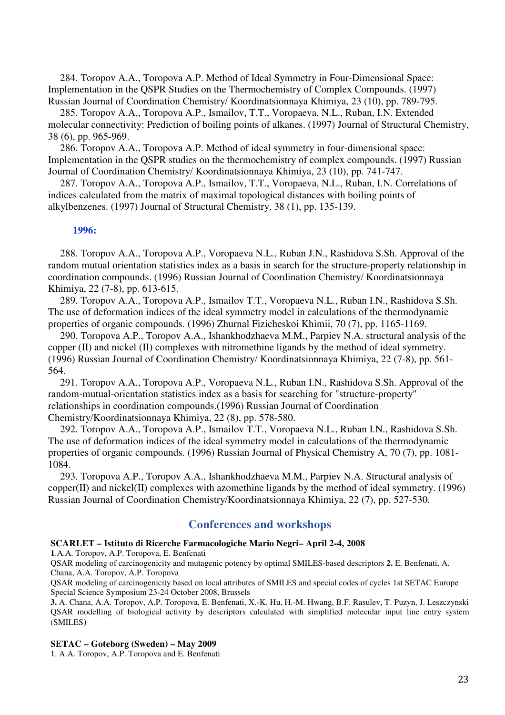284. Toropov A.A., Toropova A.P. Method of Ideal Symmetry in Four-Dimensional Space: Implementation in the QSPR Studies on the Thermochemistry of Complex Compounds. (1997) Russian Journal of Coordination Chemistry/ Koordinatsionnaya Khimiya, 23 (10), pp. 789-795.

285. Toropov A.A., Toropova A.P., Ismailov, T.T., Voropaeva, N.L., Ruban, I.N. Extended molecular connectivity: Prediction of boiling points of alkanes. (1997) Journal of Structural Chemistry, 38 (6), pp. 965-969.

286. Toropov A.A., Toropova A.P. Method of ideal symmetry in four-dimensional space: Implementation in the QSPR studies on the thermochemistry of complex compounds. (1997) Russian Journal of Coordination Chemistry/ Koordinatsionnaya Khimiya, 23 (10), pp. 741-747.

287. Toropov A.A., Toropova A.P., Ismailov, T.T., Voropaeva, N.L., Ruban, I.N. Correlations of indices calculated from the matrix of maximal topological distances with boiling points of alkylbenzenes. (1997) Journal of Structural Chemistry, 38 (1), pp. 135-139.

# **1996:**

288. Toropov A.A., Toropova A.P., Voropaeva N.L., Ruban J.N., Rashidova S.Sh. Approval of the random mutual orientation statistics index as a basis in search for the structure-property relationship in coordination compounds. (1996) Russian Journal of Coordination Chemistry/ Koordinatsionnaya Khimiya, 22 (7-8), pp. 613-615.

289. Toropov A.A., Toropova A.P., Ismailov T.T., Voropaeva N.L., Ruban I.N., Rashidova S.Sh. The use of deformation indices of the ideal symmetry model in calculations of the thermodynamic properties of organic compounds. (1996) Zhurnal Fizicheskoi Khimii, 70 (7), pp. 1165-1169.

290. Toropova A.P., Toropov A.A., Ishankhodzhaeva M.M., Parpiev N.A. structural analysis of the copper (II) and nickel (II) complexes with nitromethine ligands by the method of ideal symmetry. (1996) Russian Journal of Coordination Chemistry/ Koordinatsionnaya Khimiya, 22 (7-8), pp. 561- 564.

291. Toropov A.A., Toropova A.P., Voropaeva N.L., Ruban I.N., Rashidova S.Sh. Approval of the random-mutual-orientation statistics index as a basis for searching for "structure-property" relationships in coordination compounds.(1996) Russian Journal of Coordination Chemistry/Koordinatsionnaya Khimiya, 22 (8), pp. 578-580.

292. Toropov A.A., Toropova A.P., Ismailov T.T., Voropaeva N.L., Ruban I.N., Rashidova S.Sh. The use of deformation indices of the ideal symmetry model in calculations of the thermodynamic properties of organic compounds. (1996) Russian Journal of Physical Chemistry A, 70 (7), pp. 1081- 1084.

293. Toropova A.P., Toropov A.A., Ishankhodzhaeva M.M., Parpiev N.A. Structural analysis of copper(II) and nickel(II) complexes with azomethine ligands by the method of ideal symmetry. (1996) Russian Journal of Coordination Chemistry/Koordinatsionnaya Khimiya, 22 (7), pp. 527-530.

# **Conferences and workshops**

#### **SCARLET – Istituto di Ricerche Farmacologiche Mario Negri– April 2-4, 2008**

**1**.A.A. Toropov, A.P. Toropova, E. Benfenati

QSAR modeling of carcinogenicity and mutagenic potency by optimal SMILES-based descriptors **2.** E. Benfenati, A. Chana, A.A. Toropov, A.P. Toropova

QSAR modeling of carcinogenicity based on local attributes of SMILES and special codes of cycles 1st SETAC Europe Special Science Symposium 23-24 October 2008, Brussels

**3.** A. Chana, A.A. Toropov, A.P. Toropova, E. Benfenati, X.-K. Hu, H.-M. Hwang, B.F. Rasulev, T. Puzyn, J. Leszczynski QSAR modelling of biological activity by descriptors calculated with simplified molecular input line entry system (SMILES)

#### **SETAC – Goteborg (Sweden) – May 2009**

1. A.A. Toropov, A.P. Toropova and E. Benfenati